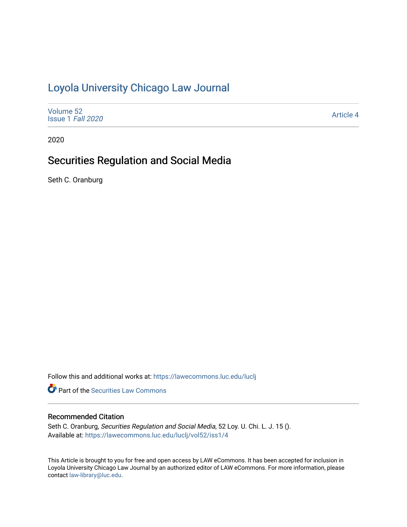# [Loyola University Chicago Law Journal](https://lawecommons.luc.edu/luclj)

| Volume 52<br>Issue 1 Fall 2020 | <b>Article 4</b> |
|--------------------------------|------------------|
|--------------------------------|------------------|

2020

## Securities Regulation and Social Media

Seth C. Oranburg

Follow this and additional works at: [https://lawecommons.luc.edu/luclj](https://lawecommons.luc.edu/luclj?utm_source=lawecommons.luc.edu%2Fluclj%2Fvol52%2Fiss1%2F4&utm_medium=PDF&utm_campaign=PDFCoverPages) 

Part of the [Securities Law Commons](http://network.bepress.com/hgg/discipline/619?utm_source=lawecommons.luc.edu%2Fluclj%2Fvol52%2Fiss1%2F4&utm_medium=PDF&utm_campaign=PDFCoverPages) 

## Recommended Citation

Seth C. Oranburg, Securities Regulation and Social Media, 52 Loy. U. Chi. L. J. 15 (). Available at: [https://lawecommons.luc.edu/luclj/vol52/iss1/4](https://lawecommons.luc.edu/luclj/vol52/iss1/4?utm_source=lawecommons.luc.edu%2Fluclj%2Fvol52%2Fiss1%2F4&utm_medium=PDF&utm_campaign=PDFCoverPages) 

This Article is brought to you for free and open access by LAW eCommons. It has been accepted for inclusion in Loyola University Chicago Law Journal by an authorized editor of LAW eCommons. For more information, please contact [law-library@luc.edu.](mailto:law-library@luc.edu)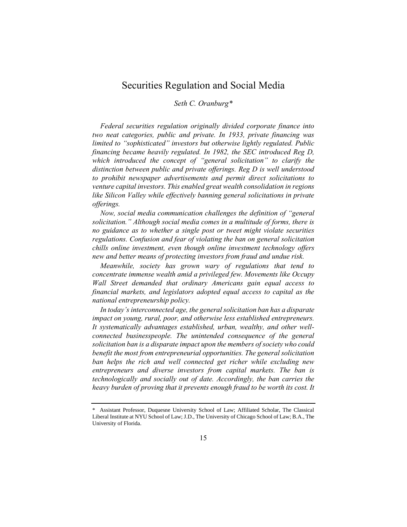## Securities Regulation and Social Media

*Seth C. Oranburg\**

*Federal securities regulation originally divided corporate finance into two neat categories, public and private. In 1933, private financing was limited to "sophisticated" investors but otherwise lightly regulated. Public financing became heavily regulated. In 1982, the SEC introduced Reg D, which introduced the concept of "general solicitation" to clarify the distinction between public and private offerings. Reg D is well understood to prohibit newspaper advertisements and permit direct solicitations to venture capital investors. This enabled great wealth consolidation in regions like Silicon Valley while effectively banning general solicitations in private offerings.*

*Now, social media communication challenges the definition of "general solicitation." Although social media comes in a multitude of forms, there is no guidance as to whether a single post or tweet might violate securities regulations. Confusion and fear of violating the ban on general solicitation chills online investment, even though online investment technology offers new and better means of protecting investors from fraud and undue risk.*

*Meanwhile, society has grown wary of regulations that tend to concentrate immense wealth amid a privileged few. Movements like Occupy Wall Street demanded that ordinary Americans gain equal access to financial markets, and legislators adopted equal access to capital as the national entrepreneurship policy.*

*In today's interconnected age, the general solicitation ban has a disparate impact on young, rural, poor, and otherwise less established entrepreneurs. It systematically advantages established, urban, wealthy, and other wellconnected businesspeople. The unintended consequence of the general solicitation ban is a disparate impact upon the members of society who could benefit the most from entrepreneurial opportunities. The general solicitation ban helps the rich and well connected get richer while excluding new entrepreneurs and diverse investors from capital markets. The ban is technologically and socially out of date. Accordingly, the ban carries the heavy burden of proving that it prevents enough fraud to be worth its cost. It* 

<sup>\*</sup> Assistant Professor, Duquesne University School of Law; Affiliated Scholar, The Classical Liberal Institute at NYU School of Law; J.D., The University of Chicago School of Law; B.A., The University of Florida.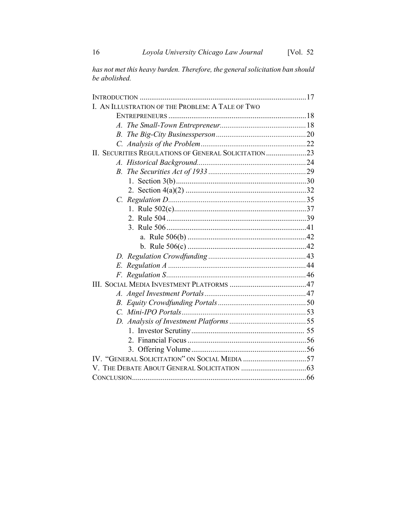has not met this heavy burden. Therefore, the general solicitation ban should be abolished.

| I. AN ILLUSTRATION OF THE PROBLEM: A TALE OF TWO     |  |
|------------------------------------------------------|--|
|                                                      |  |
|                                                      |  |
| B.                                                   |  |
|                                                      |  |
| II. SECURITIES REGULATIONS OF GENERAL SOLICITATION23 |  |
|                                                      |  |
|                                                      |  |
|                                                      |  |
|                                                      |  |
|                                                      |  |
|                                                      |  |
|                                                      |  |
|                                                      |  |
|                                                      |  |
|                                                      |  |
|                                                      |  |
|                                                      |  |
|                                                      |  |
|                                                      |  |
|                                                      |  |
|                                                      |  |
|                                                      |  |
|                                                      |  |
|                                                      |  |
| $2_{-}$                                              |  |
|                                                      |  |
|                                                      |  |
|                                                      |  |
|                                                      |  |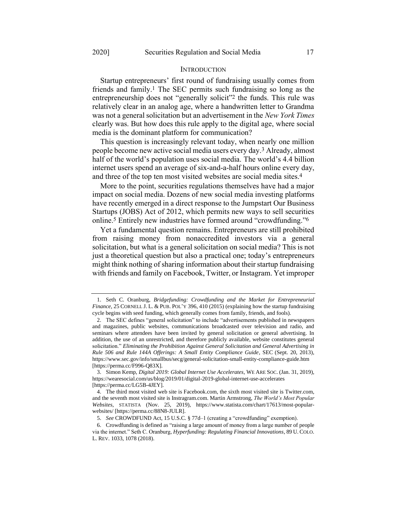## **INTRODUCTION**

Startup entrepreneurs' first round of fundraising usually comes from friends and family.1 The SEC permits such fundraising so long as the entrepreneurship does not "generally solicit"<sup>2</sup> the funds. This rule was relatively clear in an analog age, where a handwritten letter to Grandma was not a general solicitation but an advertisement in the *New York Times* clearly was. But how does this rule apply to the digital age, where social media is the dominant platform for communication?

This question is increasingly relevant today, when nearly one million people become new active social media users every day.3 Already, almost half of the world's population uses social media. The world's 4.4 billion internet users spend an average of six-and-a-half hours online every day, and three of the top ten most visited websites are social media sites. 4

More to the point, securities regulations themselves have had a major impact on social media. Dozens of new social media investing platforms have recently emerged in a direct response to the Jumpstart Our Business Startups (JOBS) Act of 2012, which permits new ways to sell securities online.5 Entirely new industries have formed around "crowdfunding."6

Yet a fundamental question remains. Entrepreneurs are still prohibited from raising money from nonaccredited investors via a general solicitation, but what is a general solicitation on social media? This is not just a theoretical question but also a practical one; today's entrepreneurs might think nothing of sharing information about their startup fundraising with friends and family on Facebook, Twitter, or Instagram. Yet improper

<sup>1.</sup> Seth C. Oranburg, *Bridgefunding: Crowdfunding and the Market for Entrepreneurial Finance*, 25 CORNELL J. L. & PUB. POL'Y 396, 410 (2015) (explaining how the startup fundraising cycle begins with seed funding, which generally comes from family, friends, and fools).

<sup>2.</sup> The SEC defines "general solicitation" to include "advertisements published in newspapers and magazines, public websites, communications broadcasted over television and radio, and seminars where attendees have been invited by general solicitation or general advertising. In addition, the use of an unrestricted, and therefore publicly available, website constitutes general solicitation." *Eliminating the Prohibition Against General Solicitation and General Advertising in Rule 506 and Rule 144A Offerings: A Small Entity Compliance Guide*, SEC (Sept. 20, 2013), https://www.sec.gov/info/smallbus/secg/general-solicitation-small-entity-compliance-guide.htm [https://perma.cc/F996-Q83X].

<sup>3.</sup> Simon Kemp, *Digital 2019: Global Internet Use Accelerates*, WE ARE SOC. (Jan. 31, 2019), https://wearesocial.com/us/blog/2019/01/digital-2019-global-internet-use-accelerates [https://perma.cc/LG5B-4JEY].

<sup>4.</sup> The third most visited web site is Facebook.com, the sixth most visited site is Twitter.com, and the seventh most visited site is Instragram.com. Martin Armstrong, *The World's Most Popular Websites*, STATISTA (Nov. 25, 2019), https://www.statista.com/chart/17613/most-popularwebsites/ [https://perma.cc/88N8-JULR].

<sup>5.</sup> *See* CROWDFUND Act, 15 U.S.C. § 77d–1 (creating a "crowdfunding" exemption).

<sup>6.</sup> Crowdfunding is defined as "raising a large amount of money from a large number of people via the internet." Seth C. Oranburg, *Hyperfunding: Regulating Financial Innovations*, 89 U. COLO. L. REV. 1033, 1078 (2018).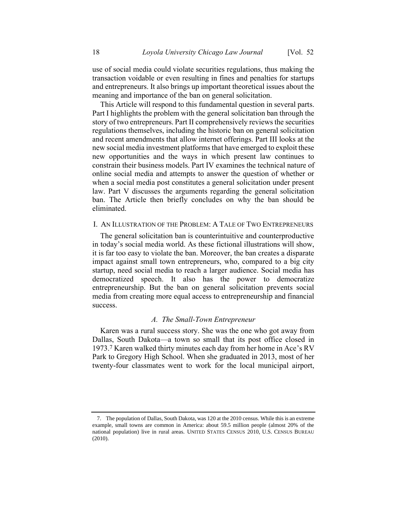use of social media could violate securities regulations, thus making the transaction voidable or even resulting in fines and penalties for startups and entrepreneurs. It also brings up important theoretical issues about the meaning and importance of the ban on general solicitation.

This Article will respond to this fundamental question in several parts. Part I highlights the problem with the general solicitation ban through the story of two entrepreneurs. Part II comprehensively reviews the securities regulations themselves, including the historic ban on general solicitation and recent amendments that allow internet offerings. Part III looks at the new social media investment platforms that have emerged to exploit these new opportunities and the ways in which present law continues to constrain their business models. Part IV examines the technical nature of online social media and attempts to answer the question of whether or when a social media post constitutes a general solicitation under present law. Part V discusses the arguments regarding the general solicitation ban. The Article then briefly concludes on why the ban should be eliminated.

#### I. AN ILLUSTRATION OF THE PROBLEM: A TALE OF TWO ENTREPRENEURS

The general solicitation ban is counterintuitive and counterproductive in today's social media world. As these fictional illustrations will show, it is far too easy to violate the ban. Moreover, the ban creates a disparate impact against small town entrepreneurs, who, compared to a big city startup, need social media to reach a larger audience. Social media has democratized speech. It also has the power to democratize entrepreneurship. But the ban on general solicitation prevents social media from creating more equal access to entrepreneurship and financial success.

#### *A. The Small-Town Entrepreneur*

Karen was a rural success story. She was the one who got away from Dallas, South Dakota—a town so small that its post office closed in 1973.7 Karen walked thirty minutes each day from her home in Ace's RV Park to Gregory High School. When she graduated in 2013, most of her twenty-four classmates went to work for the local municipal airport,

<sup>7.</sup> The population of Dallas, South Dakota, was 120 at the 2010 census. While this is an extreme example, small towns are common in America: about 59.5 million people (almost 20% of the national population) live in rural areas. UNITED STATES CENSUS 2010, U.S. CENSUS BUREAU (2010).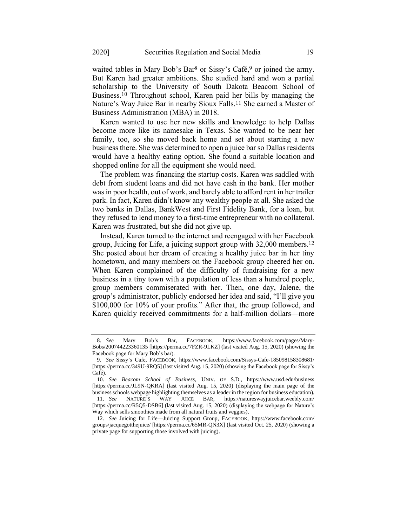waited tables in Mary Bob's Bar<sup>8</sup> or Sissy's Café,<sup>9</sup> or joined the army. But Karen had greater ambitions. She studied hard and won a partial scholarship to the University of South Dakota Beacom School of Business.10 Throughout school, Karen paid her bills by managing the Nature's Way Juice Bar in nearby Sioux Falls.11 She earned a Master of Business Administration (MBA) in 2018.

Karen wanted to use her new skills and knowledge to help Dallas become more like its namesake in Texas. She wanted to be near her family, too, so she moved back home and set about starting a new business there. She was determined to open a juice bar so Dallas residents would have a healthy eating option. She found a suitable location and shopped online for all the equipment she would need.

The problem was financing the startup costs. Karen was saddled with debt from student loans and did not have cash in the bank. Her mother was in poor health, out of work, and barely able to afford rent in her trailer park. In fact, Karen didn't know any wealthy people at all. She asked the two banks in Dallas, BankWest and First Fidelity Bank, for a loan, but they refused to lend money to a first-time entrepreneur with no collateral. Karen was frustrated, but she did not give up.

Instead, Karen turned to the internet and reengaged with her Facebook group, Juicing for Life, a juicing support group with 32,000 members.12 She posted about her dream of creating a healthy juice bar in her tiny hometown, and many members on the Facebook group cheered her on. When Karen complained of the difficulty of fundraising for a new business in a tiny town with a population of less than a hundred people, group members commiserated with her. Then, one day, Jalene, the group's administrator, publicly endorsed her idea and said, "I'll give you \$100,000 for 10% of your profits." After that, the group followed, and Karen quickly received commitments for a half-million dollars—more

<sup>8.</sup> *See* Mary Bob's Bar, FACEBOOK, https://www.facebook.com/pages/Mary-Bobs/200744223360135 [https://perma.cc/7FZR-9LKZ] (last visited Aug. 15, 2020) (showing the Facebook page for Mary Bob's bar).

<sup>9.</sup> *See* Sissy's Cafe, FACEBOOK, https://www.facebook.com/Sissys-Cafe-185098158308681/ [https://perma.cc/349U-9RQ5] (last visited Aug. 15, 2020) (showing the Facebook page for Sissy's Café).

<sup>10.</sup> *See Beacom School of Business*, UNIV. OF S.D., https://www.usd.edu/business [https://perma.cc/JL9N-QKRA] (last visited Aug. 15, 2020) (displaying the main page of the business schools webpage highlighting themselves as a leader in the region for business education).<br>11. See NATURE'S WAY JUCE BAR, https://natureswayjuicebar.weebly.com/ 11. *See* NATURE'S WAY JUICE BAR, https://natureswayjuicebar.weebly.com/

<sup>[</sup>https://perma.cc/R5Q5-DSB6] (last visited Aug. 15, 2020) (displaying the webpage for Nature's Way which sells smoothies made from all natural fruits and veggies). 12. *See* Juicing for Life—Juicing Support Group, FACEBOOK, https://www.facebook.com/

groups/jacquegotthejuice/ [https://perma.cc/65MR-QN3X] (last visited Oct. 25, 2020) (showing a private page for supporting those involved with juicing).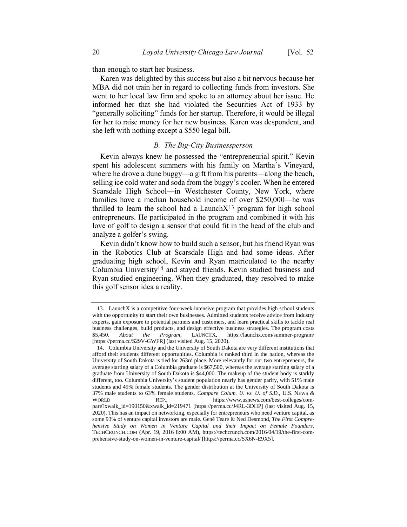than enough to start her business.

Karen was delighted by this success but also a bit nervous because her MBA did not train her in regard to collecting funds from investors. She went to her local law firm and spoke to an attorney about her issue. He informed her that she had violated the Securities Act of 1933 by "generally soliciting" funds for her startup. Therefore, it would be illegal for her to raise money for her new business. Karen was despondent, and she left with nothing except a \$550 legal bill.

#### *B. The Big-City Businessperson*

Kevin always knew he possessed the "entrepreneurial spirit." Kevin spent his adolescent summers with his family on Martha's Vineyard, where he drove a dune buggy—a gift from his parents—along the beach, selling ice cold water and soda from the buggy's cooler. When he entered Scarsdale High School—in Westchester County, New York, where families have a median household income of over \$250,000—he was thrilled to learn the school had a Launch $X<sup>13</sup>$  program for high school entrepreneurs. He participated in the program and combined it with his love of golf to design a sensor that could fit in the head of the club and analyze a golfer's swing.

Kevin didn't know how to build such a sensor, but his friend Ryan was in the Robotics Club at Scarsdale High and had some ideas. After graduating high school, Kevin and Ryan matriculated to the nearby Columbia University14 and stayed friends. Kevin studied business and Ryan studied engineering. When they graduated, they resolved to make this golf sensor idea a reality.

<sup>13.</sup> LaunchX is a competitive four-week intensive program that provides high school students with the opportunity to start their own businesses. Admitted students receive advice from industry experts, gain exposure to potential partners and customers, and learn practical skills to tackle real business challenges, build products, and design effective business strategies. The program costs \$5,450. About the Program, LAUNCHX, https://launchx.com/summer-program/ \$5,450. *About the Program*, LAUNCHX, https://launchx.com/summer-program/ [https://perma.cc/S29V-GWFR] (last visited Aug. 15, 2020).

<sup>14.</sup> Columbia University and the University of South Dakota are very different institutions that afford their students different opportunities. Columbia is ranked third in the nation, whereas the University of South Dakota is tied for 263rd place. More relevantly for our two entrepreneurs, the average starting salary of a Columbia graduate is \$67,500, whereas the average starting salary of a graduate from University of South Dakota is \$44,000. The makeup of the student body is starkly different, too. Columbia University's student population nearly has gender parity, with 51% male students and 49% female students. The gender distribution at the University of South Dakota is 37% male students to 63% female students. *Compare Colum. U. vs. U. of S.D.*, U.S. NEWS & WORLD REP., https://www.usnews.com/best-colleges/compare?xwalk\_id=190150&xwalk\_id=219471 [https://perma.cc/J4RL-3DHP] (last visited Aug. 15, 2020). This has an impact on networking, especially for entrepreneurs who need venture capital, as some 93% of venture capital investors are male. Gené Teare & Ned Desmond, *The First Comprehensive Study on Women in Venture Capital and their Impact on Female Founders*, TECHCRUNCH.COM (Apr. 19, 2016 8:00 AM), https://techcrunch.com/2016/04/19/the-first-comprehensive-study-on-women-in-venture-capital/ [\[https://perma.cc/SX6N-E9X5\]](https://perma.cc/SX6N-E9X5).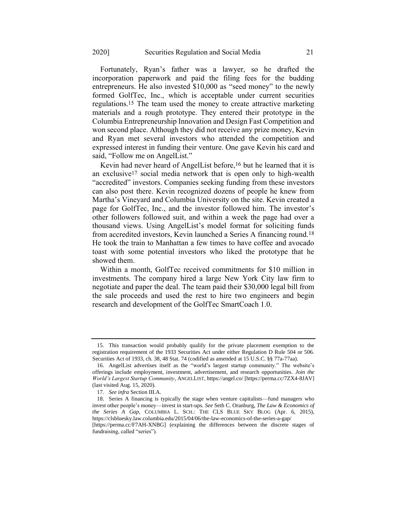Fortunately, Ryan's father was a lawyer, so he drafted the incorporation paperwork and paid the filing fees for the budding entrepreneurs. He also invested \$10,000 as "seed money" to the newly formed GolfTec, Inc., which is acceptable under current securities regulations.15 The team used the money to create attractive marketing materials and a rough prototype. They entered their prototype in the Columbia Entrepreneurship Innovation and Design Fast Competition and won second place. Although they did not receive any prize money, Kevin and Ryan met several investors who attended the competition and expressed interest in funding their venture. One gave Kevin his card and said, "Follow me on AngelList."

Kevin had never heard of AngelList before,<sup>16</sup> but he learned that it is an exclusive17 social media network that is open only to high-wealth "accredited" investors. Companies seeking funding from these investors can also post there. Kevin recognized dozens of people he knew from Martha's Vineyard and Columbia University on the site. Kevin created a page for GolfTec, Inc., and the investor followed him. The investor's other followers followed suit, and within a week the page had over a thousand views. Using AngelList's model format for soliciting funds from accredited investors, Kevin launched a Series A financing round.18 He took the train to Manhattan a few times to have coffee and avocado toast with some potential investors who liked the prototype that he showed them.

Within a month, GolfTec received commitments for \$10 million in investments. The company hired a large New York City law firm to negotiate and paper the deal. The team paid their \$30,000 legal bill from the sale proceeds and used the rest to hire two engineers and begin research and development of the GolfTec SmartCoach 1.0.

<sup>15.</sup> This transaction would probably qualify for the private placement exemption to the registration requirement of the 1933 Securities Act under either Regulation D Rule 504 or 506. Securities Act of 1933, ch. 38, 48 Stat. 74 (codified as amended at 15 U.S.C. §§ 77a-77aa).

<sup>16.</sup> AngelList advertises itself as the "world's largest startup community." The website's offerings include employment, investment, advertisement, and research opportunities. *Join the World's Largest Startup Community*, ANGELLIST, https://angel.co/ [https://perma.cc/7ZX4-8JAV] (last visited Aug. 15, 2020).

<sup>17.</sup> *See infra* Section III.A.

<sup>18.</sup> Series A financing is typically the stage when venture capitalists—fund managers who invest other people's money—invest in start-ups. *See* Seth C. Oranburg, *The Law & Economics of the Series A Gap*, COLUMBIA L. SCH.: THE CLS BLUE SKY BLOG (Apr. 6, 2015), https://clsbluesky.law.columbia.edu/2015/04/06/the-law-economics-of-the-series-a-gap/ [https://perma.cc/F7AH-XNBG] (explaining the differences between the discrete stages of

fundraising, called "series").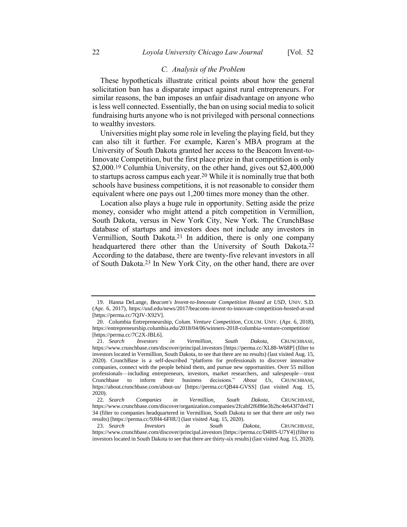These hypotheticals illustrate critical points about how the general solicitation ban has a disparate impact against rural entrepreneurs. For similar reasons, the ban imposes an unfair disadvantage on anyone who is less well connected. Essentially, the ban on using social media to solicit fundraising hurts anyone who is not privileged with personal connections to wealthy investors.

Universities might play some role in leveling the playing field, but they can also tilt it further. For example, Karen's MBA program at the University of South Dakota granted her access to the Beacom Invent-to-Innovate Competition, but the first place prize in that competition is only \$2,000.<sup>19</sup> Columbia University, on the other hand, gives out \$2,400,000 to startups across campus each year.20 While it is nominally true that both schools have business competitions, it is not reasonable to consider them equivalent where one pays out 1,200 times more money than the other.

Location also plays a huge rule in opportunity. Setting aside the prize money, consider who might attend a pitch competition in Vermillion, South Dakota, versus in New York City, New York. The CrunchBase database of startups and investors does not include any investors in Vermillion, South Dakota.21 In addition, there is only one company headquartered there other than the University of South Dakota.<sup>22</sup> According to the database, there are twenty-five relevant investors in all of South Dakota.23 In New York City, on the other hand, there are over

<sup>19.</sup> Hanna DeLange, *Beacom's Invent-to-Innovate Competition Hosted at USD*, UNIV. S.D. (Apr. 6, 2017), https://usd.edu/news/2017/beacoms-invent-to-innovate-competition-hosted-at-usd [https://perma.cc/7QJV-X92V].

<sup>20.</sup> Columbia Entrepreneurship, *Colum. Venture Competition*, COLUM. UNIV. (Apr. 6, 2018), https://entrepreneurship.columbia.edu/2018/04/06/winners-2018-columbia-venture-competition/ [https://perma.cc/7C2X-JBL6].

<sup>21.</sup> *Search Investors in Vermillion, South Dakota*, CRUNCHBASE, https://www.crunchbase.com/discover/principal.investors [https://perma.cc/XL88-W68P] (filter to investors located in Vermillion, South Dakota, to see that there are no results) (last visited Aug. 15, 2020). CrunchBase is a self-described "platform for professionals to discover innovative companies, connect with the people behind them, and pursue new opportunities. Over 55 million professionals—including entrepreneurs, investors, market researchers, and salespeople—trust Crunchbase to inform their business decisions." *About Us*, CRUNCHBASE, https://about.crunchbase.com/about-us/ [https://perma.cc/QB44-GVSS] (last visited Aug. 15, 2020).

<sup>22.</sup> *Search Companies in Vermillion, South Dakota*, CRUNCHBASE, https://www.crunchbase.com/discover/organization.companies/2fcabf2f6f86e3b2bc4e643f7ded71 34 (filter to companies headquartered in Vermillion, South Dakota to see that there are only two results) [https://perma.cc/9JH4-6FHU] (last visited Aug. 15, 2020).

<sup>23.</sup> *Search Investors in South Dakota*, CRUNCHBASE, https://www.crunchbase.com/discover/principal.investors [https://perma.cc/D4HS-U7Y4] (filter to investors located in South Dakota to see that there are thirty-six results) (last visited Aug. 15, 2020).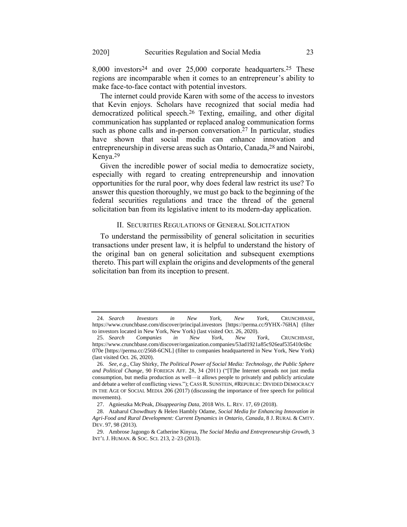8,000 investors24 and over 25,000 corporate headquarters.25 These regions are incomparable when it comes to an entrepreneur's ability to make face-to-face contact with potential investors.

The internet could provide Karen with some of the access to investors that Kevin enjoys. Scholars have recognized that social media had democratized political speech.26 Texting, emailing, and other digital communication has supplanted or replaced analog communication forms such as phone calls and in-person conversation.<sup>27</sup> In particular, studies have shown that social media can enhance innovation and entrepreneurship in diverse areas such as Ontario, Canada,28 and Nairobi, Kenya.29

Given the incredible power of social media to democratize society, especially with regard to creating entrepreneurship and innovation opportunities for the rural poor, why does federal law restrict its use? To answer this question thoroughly, we must go back to the beginning of the federal securities regulations and trace the thread of the general solicitation ban from its legislative intent to its modern-day application.

#### II. SECURITIES REGULATIONS OF GENERAL SOLICITATION

To understand the permissibility of general solicitation in securities transactions under present law, it is helpful to understand the history of the original ban on general solicitation and subsequent exemptions thereto. This part will explain the origins and developments of the general solicitation ban from its inception to present.

<sup>24.</sup> *Search Investors in New York, New York*, CRUNCHBASE, https://www.crunchbase.com/discover/principal.investors [https://perma.cc/9YHX-76HA] (filter to investors located in New York, New York) (last visited Oct. 26, 2020).

<sup>25.</sup> *Search Companies in New York, New York*, CRUNCHBASE, https://www.crunchbase.com/discover/organization.companies/53ad1921a85c926eaf535410c6bc 070e [https://perma.cc/2568-6CNL] (filter to companies headquartered in New York, New York) (last visited Oct. 26, 2020).

<sup>26.</sup> *See, e.g.*, Clay Shirky, *The Political Power of Social Media: Technology, the Public Sphere and Political Change*, 90 FOREIGN AFF. 28, 34 (2011) ("[T]he Internet spreads not just media consumption, but media production as well—it allows people to privately and publicly articulate and debate a welter of conflicting views."); CASS R. SUNSTEIN, #REPUBLIC: DIVIDED DEMOCRACY IN THE AGE OF SOCIAL MEDIA 206 (2017) (discussing the importance of free speech for political movements).

<sup>27.</sup> Agnieszka McPeak, *Disappearing Data*, 2018 WIS. L. REV. 17, 69 (2018).

<sup>28.</sup> Ataharul Chowdhury & Helen Hambly Odame, *Social Media for Enhancing Innovation in Agri-Food and Rural Development: Current Dynamics in Ontario, Canada*, 8 J. RURAL & CMTY. DEV. 97, 98 (2013).

<sup>29.</sup> Ambrose Jagongo & Catherine Kinyua, *The Social Media and Entrepreneurship Growth*, 3 INT'L J. HUMAN. & SOC. SCI. 213, 2–23 (2013).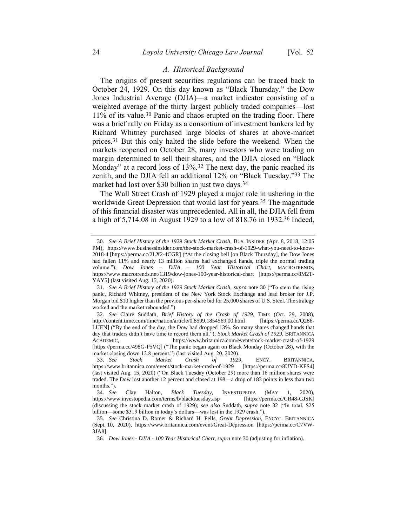## <span id="page-10-1"></span><span id="page-10-0"></span>*A. Historical Background*

The origins of present securities regulations can be traced back to October 24, 1929. On this day known as "Black Thursday," the Dow Jones Industrial Average (DJIA)—a market indicator consisting of a weighted average of the thirty largest publicly traded companies—lost 11% of its value.30 Panic and chaos erupted on the trading floor. There was a brief rally on Friday as a consortium of investment bankers led by Richard Whitney purchased large blocks of shares at above-market prices.<sup>31</sup> But this only halted the slide before the weekend. When the markets reopened on October 28, many investors who were trading on margin determined to sell their shares, and the DJIA closed on "Black Monday" at a record loss of 13%.<sup>32</sup> The next day, the panic reached its zenith, and the DJIA fell an additional 12% on "Black Tuesday."33 The market had lost over \$30 billion in just two days.34

The Wall Street Crash of 1929 played a major role in ushering in the worldwide Great Depression that would last for years.<sup>35</sup> The magnitude of this financial disaster was unprecedented. All in all, the DJIA fell from a high of 5,714.08 in August 1929 to a low of 818.76 in 1932.36 Indeed,

<sup>30.</sup> *See A Brief History of the 1929 Stock Market Crash*, BUS. INSIDER (Apr. 8, 2018, 12:05 PM), https://www.businessinsider.com/the-stock-market-crash-of-1929-what-you-need-to-know-2018-4 [https://perma.cc/2LX2-4CGR] ("At the closing bell [on Black Thursday], the Dow Jones had fallen 11% and nearly 13 million shares had exchanged hands, triple the normal trading volume."); *Dow Jones – DJIA – 100 Year Historical Chart*, MACROTRENDS, https://www.macrotrends.net/1319/dow-jones-100-year-historical-chart [https://perma.cc/8M2T-YAY5] (last visited Aug. 15, 2020).

<sup>31.</sup> *See A Brief History of the 1929 Stock Market Crash*, *supra* note [30](#page-10-0) ("To stem the rising panic, Richard Whitney, president of the New York Stock Exchange and lead broker for J.P. Morgan bid \$10 higher than the previous per-share bid for 25,000 shares of U.S. Steel. The strategy worked and the market rebounded.")

<sup>32.</sup> *See* Claire Suddath, *Brief History of the Crash of 1929*, TIME (Oct. 29, 2008), http://content.time.com/time/nation/article/0,8599,1854569,00.html [https://perma.cc/Q286- LUEN] ("By the end of the day, the Dow had dropped 13%. So many shares changed hands that day that traders didn't have time to record them all."); *Stock Market Crash of 1929*, BRITANNICA ACADEMIC, https://www.britannica.com/event/stock-market-crash-of-1929 [https://perma.cc/498G-P5VQ] ("The panic began again on Black Monday (October 28), with the market closing down 12.8 percent.") (last visited Aug. 20, 2020).

<sup>33.</sup> *See Stock Market Crash of 1929*, ENCY. BRITANNICA, https://www.britannica.com/event/stock-market-crash-of-1929 [https://perma.cc/8UYD-KFS4] (last visited Aug. 15, 2020) ("On Black Tuesday (October 29) more than 16 million shares were traded. The Dow lost another 12 percent and closed at 198—a drop of 183 points in less than two months.").

<sup>34.</sup> *See* Clay Halton, *Black Tuesday*, INVESTOPEDIA (MAY 1, 2020), https://www.investopedia.com/terms/b/blacktuesday.asp [https://perma.cc/CR48-GJSK] (discussing the stock market crash of 1929); *see also* Suddath, *supra* note [32](#page-10-1) ("In total, \$25 billion—some \$319 billion in today's dollars—was lost in the 1929 crash.").

<sup>35.</sup> *See* Christina D. Romer & Richard H. Pells, *Great Depression*, ENCYC. BRITANNICA (Sept. 10, 2020), https://www.britannica.com/event/Great-Depression [https://perma.cc/C7VW-3JA8].

<sup>36.</sup> *Dow Jones - DJIA - 100 Year Historical Chart*, *supra* not[e 30](#page-10-0) (adjusting for inflation).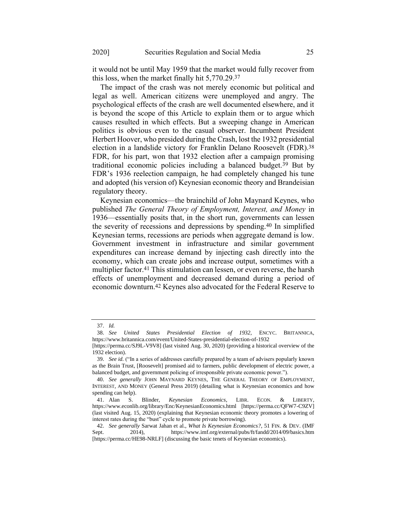it would not be until May 1959 that the market would fully recover from this loss, when the market finally hit 5,770.29. 37

The impact of the crash was not merely economic but political and legal as well. American citizens were unemployed and angry. The psychological effects of the crash are well documented elsewhere, and it is beyond the scope of this Article to explain them or to argue which causes resulted in which effects. But a sweeping change in American politics is obvious even to the casual observer. Incumbent President Herbert Hoover, who presided during the Crash, lost the 1932 presidential election in a landslide victory for Franklin Delano Roosevelt (FDR).<sup>38</sup> FDR, for his part, won that 1932 election after a campaign promising traditional economic policies including a balanced budget.39 But by FDR's 1936 reelection campaign, he had completely changed his tune and adopted (his version of) Keynesian economic theory and Brandeisian regulatory theory.

Keynesian economics—the brainchild of John Maynard Keynes, who published *The General Theory of Employment, Interest, and Money* in 1936—essentially posits that, in the short run, governments can lessen the severity of recessions and depressions by spending.40 In simplified Keynesian terms, recessions are periods when aggregate demand is low. Government investment in infrastructure and similar government expenditures can increase demand by injecting cash directly into the economy, which can create jobs and increase output, sometimes with a multiplier factor.<sup>41</sup> This stimulation can lessen, or even reverse, the harsh effects of unemployment and decreased demand during a period of economic downturn.42 Keynes also advocated for the Federal Reserve to

<sup>37.</sup> *Id.*

<sup>38.</sup> *See United States Presidential Election of 1932*, ENCYC. BRITANNICA, https://www.britannica.com/event/United-States-presidential-election-of-1932

<sup>[</sup>https://perma.cc/SJ9L-V9V8] (last visited Aug. 30, 2020) (providing a historical overview of the 1932 election).

<sup>39.</sup> *See id.* ("In a series of addresses carefully prepared by a team of advisers popularly known as the Brain Trust, [Roosevelt] promised aid to farmers, public development of electric power, a balanced budget, and government policing of irresponsible private economic power.").

<sup>40.</sup> *See generally* JOHN MAYNARD KEYNES, THE GENERAL THEORY OF EMPLOYMENT, INTEREST, AND MONEY (General Press 2019) (detailing what is Keynesian economics and how spending can help).

<sup>41.</sup> Alan S. Blinder, *Keynesian Economics*, LIBR. ECON. & LIBERTY, https://www.econlib.org/library/Enc/KeynesianEconomics.html [https://perma.cc/QFW7-C9ZV] (last visited Aug. 15, 2020) (explaining that Keynesian economic theory promotes a lowering of interest rates during the "bust" cycle to promote private borrowing).

<sup>42.</sup> *See generally* Sarwat Jahan et al., *What Is Keynesian Economics?*, 51 FIN. & DEV. (IMF Sept. 2014), https://www.imf.org/external/pubs/ft/fandd/2014/09/basics.htm [https://perma.cc/HE98-NRLF] (discussing the basic tenets of Keynesian economics).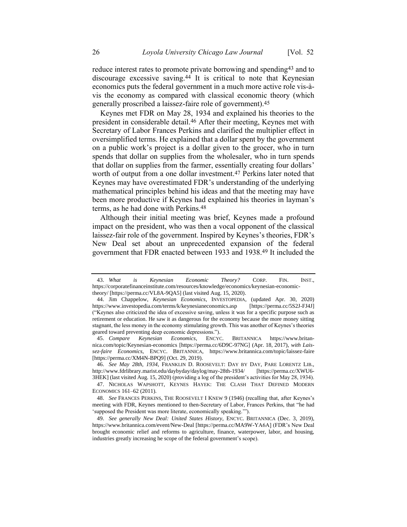reduce interest rates to promote private borrowing and spending<sup>43</sup> and to discourage excessive saving.44 It is critical to note that Keynesian economics puts the federal government in a much more active role vis-àvis the economy as compared with classical economic theory (which generally proscribed a laissez-faire role of government).45

Keynes met FDR on May 28, 1934 and explained his theories to the president in considerable detail.46 After their meeting, Keynes met with Secretary of Labor Frances Perkins and clarified the multiplier effect in oversimplified terms. He explained that a dollar spent by the government on a public work's project is a dollar given to the grocer, who in turn spends that dollar on supplies from the wholesaler, who in turn spends that dollar on supplies from the farmer, essentially creating four dollars' worth of output from a one dollar investment.<sup>47</sup> Perkins later noted that Keynes may have overestimated FDR's understanding of the underlying mathematical principles behind his ideas and that the meeting may have been more productive if Keynes had explained his theories in layman's terms, as he had done with Perkins.48

Although their initial meeting was brief, Keynes made a profound impact on the president, who was then a vocal opponent of the classical laissez-fair role of the government. Inspired by Keynes's theories, FDR's New Deal set about an unprecedented expansion of the federal government that FDR enacted between 1933 and 1938.49 It included the

46. *See May 28th, 1934*, FRANKLIN D. ROOSEVELT: DAY BY DAY, PARE LORENTZ LIB., http://www.fdrlibrary.marist.edu/daybyday/daylog/may-28th-1934/ [https://perma.cc/XWU6- 3HEK] (last visited Aug. 15, 2020) (providing a log of the president's activities for May 28, 1934).

47. NICHOLAS WAPSHOTT, KEYNES HAYEK: THE CLASH THAT DEFINED MODERN ECONOMICS 161–62 (2011).

48. *See* FRANCES PERKINS, THE ROOSEVELT I KNEW 9 (1946) (recalling that, after Keynes's meeting with FDR, Keynes mentioned to then-Secretary of Labor, Frances Perkins, that "he had 'supposed the President was more literate, economically speaking.'").

<sup>43.</sup> *What is Keynesian Economic Theory?* CORP. FIN. INST., https://corporatefinanceinstitute.com/resources/knowledge/economics/keynesian-economictheory/ [https://perma.cc/VL8A-9QA5] (last visited Aug. 15, 2020).

<sup>44.</sup> Jim Chappelow, *Keynesian Economics*, INVESTOPEDIA, (updated Apr. 30, 2020) https://www.investopedia.com/terms/k/keynesianeconomics.asp ("Keynes also criticized the idea of excessive saving, unless it was for a specific purpose such as retirement or education. He saw it as dangerous for the economy because the more money sitting stagnant, the less money in the economy stimulating growth. This was another of Keynes's theories geared toward preventing deep economic depressions.").

<sup>45.</sup> *Compare Keynesian Economics*, ENCYC. BRITANNICA https://www.britannica.com/topic/Keynesian-economics [https://perma.cc/6D9C-97NG] (Apr. 18, 2017), *with Laissez-faire Economics*, ENCYC. BRITANNICA, https://www.britannica.com/topic/laissez-faire [https://perma.cc/XM4N-BPQ9] (Oct. 29, 2019).

<sup>49.</sup> *See generally New Deal: United States History*, ENCYC. BRITANNICA (Dec. 3, 2019), https://www.britannica.com/event/New-Deal [https://perma.cc/MA9W-YA6A] (FDR's New Deal brought economic relief and reforms to agriculture, finance, waterpower, labor, and housing, industries greatly increasing he scope of the federal government's scope).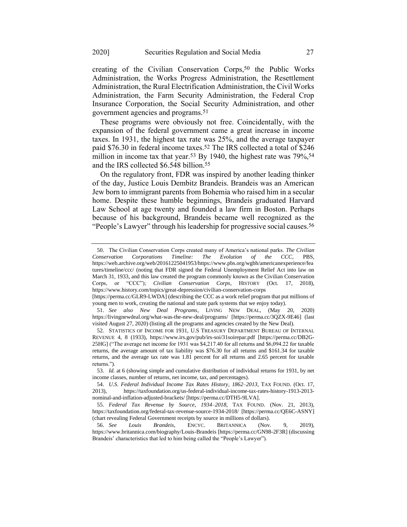creating of the Civilian Conservation Corps,<sup>50</sup> the Public Works Administration, the Works Progress Administration, the Resettlement Administration, the Rural Electrification Administration, the Civil Works Administration, the Farm Security Administration, the Federal Crop Insurance Corporation, the Social Security Administration, and other government agencies and programs.51

<span id="page-13-0"></span>These programs were obviously not free. Coincidentally, with the expansion of the federal government came a great increase in income taxes. In 1931, the highest tax rate was 25%, and the average taxpayer paid \$76.30 in federal income taxes.52 The IRS collected a total of \$246 million in income tax that year.<sup>53</sup> By 1940, the highest rate was  $79\%,$ <sup>54</sup> and the IRS collected \$6.548 billion. 55

On the regulatory front, FDR was inspired by another leading thinker of the day, Justice Louis Dembitz Brandeis. Brandeis was an American Jew born to immigrant parents from Bohemia who raised him in a secular home. Despite these humble beginnings, Brandeis graduated Harvard Law School at age twenty and founded a law firm in Boston. Perhaps because of his background, Brandeis became well recognized as the "People's Lawyer" through his leadership for progressive social causes.56

<sup>50.</sup> The Civilian Conservation Corps created many of America's national parks. *The Civilian Conservation Corporations Timeline: The Evolution of the CCC*, PBS, https://web.archive.org/web/20161225041953/https://www.pbs.org/wgbh/americanexperience/fea tures/timeline/ccc/ (noting that FDR signed the Federal Unemployment Relief Act into law on March 31, 1933, and this law created the program commonly known as the Civilian Conservation Corps, or "CCC"); *Civilian Conservation Corps*, HISTORY (Oct. 17, 2018), https://www.history.com/topics/great-depression/civilian-conservation-corps

<sup>[</sup>https://perma.cc/GLR9-LWDA] (describing the CCC as a work relief program that put millions of young men to work, creating the national and state park systems that we enjoy today).

<sup>51.</sup> *See also New Deal Programs*, LIVING NEW DEAL, (May 20, 2020) https://livingnewdeal.org/what-was-the-new-deal/programs/ [https://perma.cc/3QZX-9E46] (last visited August 27, 2020) (listing all the programs and agencies created by the New Deal).

<sup>52.</sup> STATISTICS OF INCOME FOR 1931, U.S TREASURY DEPARTMENT BUREAU OF INTERNAL REVENUE 4, 8 (1933), https://www.irs.gov/pub/irs-soi/31soirepar.pdf [https://perma.cc/DB2G-25HG] ("The average net income for 1931 was \$4,217.40 for all returns and \$6,094.22 for taxable returns, the average amount of tax liability was \$76.30 for all returns and \$161.34 for taxable returns, and the average tax rate was 1.81 percent for all returns and 2.65 percent for taxable returns.").

<sup>53.</sup> *Id.* at 6 (showing simple and cumulative distribution of individual returns for 1931, by net income classes, number of returns, net income, tax, and percentages).

<sup>54.</sup> *U.S. Federal Individual Income Tax Rates History*, *1862*–*2013*, TAX FOUND. (Oct. 17, 2013), https://taxfoundation.org/us-federal-individual-income-tax-rates-history-1913-2013 nominal-and-inflation-adjusted-brackets/ [https://perma.cc/DTH5-9LVA].

<sup>55.</sup> *Federal Tax Revenue by Source, 1934*–*2018*, TAX FOUND. (Nov. 21, 2013), https://taxfoundation.org/federal-tax-revenue-source-1934-2018/ [https://perma.cc/QE6C-ASNY] (chart revealing Federal Government receipts by source in millions of dollars).

<sup>56.</sup> *See Louis Brandeis*, ENCYC. BRITANNICA (Nov. 9, 2019), https://www.britannica.com/biography/Louis-Brandeis [https://perma.cc/GN98-2F3R] (discussing Brandeis' characteristics that led to him being called the "People's Lawyer").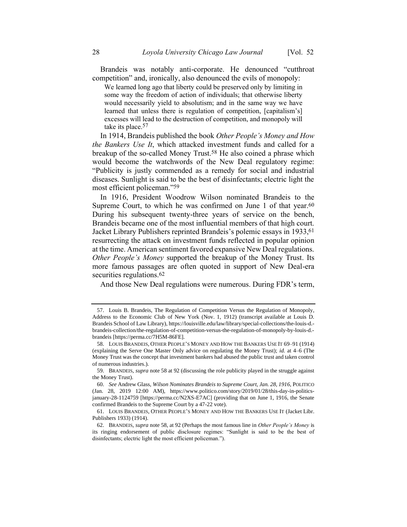Brandeis was notably anti-corporate. He denounced "cutthroat competition" and, ironically, also denounced the evils of monopoly:

We learned long ago that liberty could be preserved only by limiting in some way the freedom of action of individuals; that otherwise liberty would necessarily yield to absolutism; and in the same way we have learned that unless there is regulation of competition, [capitalism's] excesses will lead to the destruction of competition, and monopoly will take its place.<sup>57</sup>

<span id="page-14-0"></span>In 1914, Brandeis published the book *Other People's Money and How the Bankers Use It*, which attacked investment funds and called for a breakup of the so-called Money Trust.58 He also coined a phrase which would become the watchwords of the New Deal regulatory regime: "Publicity is justly commended as a remedy for social and industrial diseases. Sunlight is said to be the best of disinfectants; electric light the most efficient policeman."59

In 1916, President Woodrow Wilson nominated Brandeis to the Supreme Court, to which he was confirmed on June 1 of that year.<sup>60</sup> During his subsequent twenty-three years of service on the bench, Brandeis became one of the most influential members of that high court. Jacket Library Publishers reprinted Brandeis's polemic essays in 1933,61 resurrecting the attack on investment funds reflected in popular opinion at the time. American sentiment favored expansive New Deal regulations. *Other People's Money* supported the breakup of the Money Trust. Its more famous passages are often quoted in support of New Deal-era securities regulations.<sup>62</sup>

And those New Deal regulations were numerous. During FDR's term,

<sup>57.</sup> Louis B. Brandeis, The Regulation of Competition Versus the Regulation of Monopoly, Address to the Economic Club of New York (Nov. 1, 1912) (transcript available at Louis D. Brandeis School of Law Library), https://louisville.edu/law/library/special-collections/the-louis-d. brandeis-collection/the-regulation-of-competition-versus-the-regulation-of-monopoly-by-louis-d. brandeis [https://perma.cc/7H5M-86FE].

<sup>58.</sup> LOUIS BRANDEIS, OTHER PEOPLE'S MONEY AND HOW THE BANKERS USE IT 69–91 (1914) (explaining the Serve One Master Only advice on regulating the Money Trust); *id.* at 4–6 (The Money Trust was the concept that investment bankers had abused the public trust and taken control of numerous industries.).

<sup>59.</sup> BRANDEIS, *supra* not[e 58](#page-14-0) at 92 (discussing the role publicity played in the struggle against the Money Trust).

<sup>60.</sup> *See* Andrew Glass, *Wilson Nominates Brandeis to Supreme Court, Jan. 28, 1916*, POLITICO (Jan. 28, 2019 12:00 AM), https://www.politico.com/story/2019/01/28/this-day-in-politicsjanuary-28-1124759 [https://perma.cc/N2XS-E7AC] (providing that on June 1, 1916, the Senate confirmed Brandeis to the Supreme Court by a 47-22 vote).

<sup>61.</sup> LOUIS BRANDEIS, OTHER PEOPLE'S MONEY AND HOW THE BANKERS USE IT (Jacket Libr. Publishers 1933) (1914).

<sup>62.</sup> BRANDEIS, *supra* not[e 58,](#page-14-0) at 92 (Perhaps the most famous line in *Other People's Money* is its ringing endorsement of public disclosure regimes: "Sunlight is said to be the best of disinfectants; electric light the most efficient policeman.").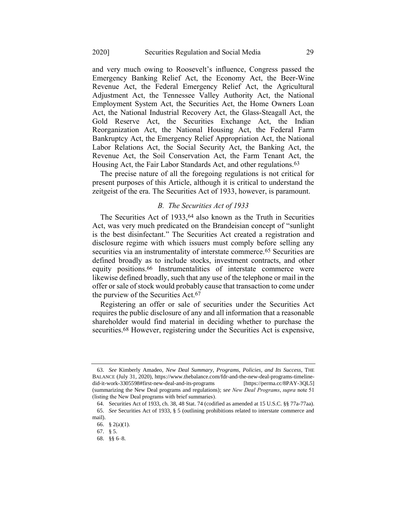and very much owing to Roosevelt's influence, Congress passed the Emergency Banking Relief Act, the Economy Act, the Beer-Wine Revenue Act, the Federal Emergency Relief Act, the Agricultural Adjustment Act, the Tennessee Valley Authority Act, the National Employment System Act, the Securities Act, the Home Owners Loan Act, the National Industrial Recovery Act, the Glass-Steagall Act, the Gold Reserve Act, the Securities Exchange Act, the Indian Reorganization Act, the National Housing Act, the Federal Farm Bankruptcy Act, the Emergency Relief Appropriation Act, the National Labor Relations Act, the Social Security Act, the Banking Act, the Revenue Act, the Soil Conservation Act, the Farm Tenant Act, the Housing Act, the Fair Labor Standards Act, and other regulations.<sup>63</sup>

The precise nature of all the foregoing regulations is not critical for present purposes of this Article, although it is critical to understand the zeitgeist of the era. The Securities Act of 1933, however, is paramount.

## *B. The Securities Act of 1933*

The Securities Act of 1933,<sup>64</sup> also known as the Truth in Securities Act, was very much predicated on the Brandeisian concept of "sunlight is the best disinfectant." The Securities Act created a registration and disclosure regime with which issuers must comply before selling any securities via an instrumentality of interstate commerce.<sup>65</sup> Securities are defined broadly as to include stocks, investment contracts, and other equity positions.66 Instrumentalities of interstate commerce were likewise defined broadly, such that any use of the telephone or mail in the offer or sale of stock would probably cause that transaction to come under the purview of the Securities Act.67

Registering an offer or sale of securities under the Securities Act requires the public disclosure of any and all information that a reasonable shareholder would find material in deciding whether to purchase the securities.<sup>68</sup> However, registering under the Securities Act is expensive,

<sup>63.</sup> *See* Kimberly Amadeo, *New Deal Summary, Programs, Policies, and Its Success*, THE BALANCE (July 31, 2020), https://www.thebalance.com/fdr-and-the-new-deal-programs-timeline-<br>did-it-work-3305598#first-new-deal-and-its-programs [https://perma.cc/8PAY-3QL5] did-it-work-3305598#first-new-deal-and-its-programs (summarizing the New Deal programs and regulations); *see New Deal Programs*, *supra* note [51](#page-13-0) (listing the New Deal programs with brief summaries).

<sup>64.</sup> Securities Act of 1933, ch. 38, 48 Stat. 74 (codified as amended at 15 U.S.C. §§ 77a-77aa). 65. *See* Securities Act of 1933, § 5 (outlining prohibitions related to interstate commerce and mail).

<sup>66.</sup> § 2(a)(1).

<sup>67.</sup> § 5.

<sup>68.</sup> §§ 6–8.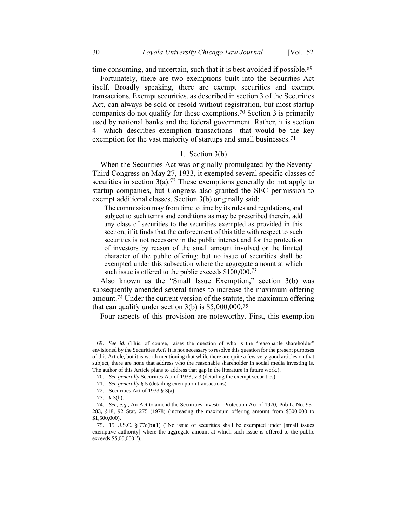time consuming, and uncertain, such that it is best avoided if possible.<sup>69</sup>

Fortunately, there are two exemptions built into the Securities Act itself. Broadly speaking, there are exempt securities and exempt transactions. Exempt securities, as described in section 3 of the Securities Act, can always be sold or resold without registration, but most startup companies do not qualify for these exemptions.70 Section 3 is primarily used by national banks and the federal government. Rather, it is section 4—which describes exemption transactions—that would be the key exemption for the vast majority of startups and small businesses.<sup>71</sup>

## 1. Section 3(b)

When the Securities Act was originally promulgated by the Seventy-Third Congress on May 27, 1933, it exempted several specific classes of securities in section  $3(a)$ .<sup>72</sup> These exemptions generally do not apply to startup companies, but Congress also granted the SEC permission to exempt additional classes. Section 3(b) originally said:

The commission may from time to time by its rules and regulations, and subject to such terms and conditions as may be prescribed therein, add any class of securities to the securities exempted as provided in this section, if it finds that the enforcement of this title with respect to such securities is not necessary in the public interest and for the protection of investors by reason of the small amount involved or the limited character of the public offering; but no issue of securities shall be exempted under this subsection where the aggregate amount at which such issue is offered to the public exceeds \$100,000.<sup>73</sup>

Also known as the "Small Issue Exemption," section 3(b) was subsequently amended several times to increase the maximum offering amount.74 Under the current version of the statute, the maximum offering that can qualify under section 3(b) is \$5,000,000.75

Four aspects of this provision are noteworthy. First, this exemption

<sup>69.</sup> *See id.* (This, of course, raises the question of who is the "reasonable shareholder" envisioned by the Securities Act? It is not necessary to resolve this question for the present purposes of this Article, but it is worth mentioning that while there are quite a few very good articles on that subject, there are none that address who the reasonable shareholder in social media investing is. The author of this Article plans to address that gap in the literature in future work.).

<sup>70.</sup> *See generally* Securities Act of 1933, § 3 (detailing the exempt securities).

<sup>71.</sup> *See generally* § 5 (detailing exemption transactions).

<sup>72.</sup> Securities Act of 1933 § 3(a).

<sup>73.</sup> § 3(b).

<sup>74.</sup> *See, e.g.*, An Act to amend the Securities Investor Protection Act of 1970, Pub L. No. 95– 283, §18, 92 Stat. 275 (1978) (increasing the maximum offering amount from \$500,000 to \$1,500,000).

<sup>75.</sup> 15 U.S.C. § 77c(b)(1) ("No issue of securities shall be exempted under [small issues exemptive authority] where the aggregate amount at which such issue is offered to the public exceeds \$5,00,000.").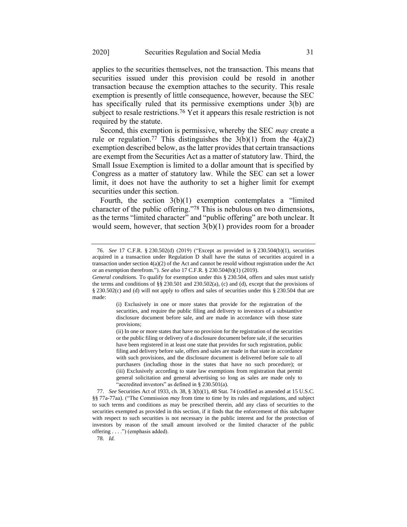applies to the securities themselves, not the transaction. This means that securities issued under this provision could be resold in another transaction because the exemption attaches to the security. This resale exemption is presently of little consequence, however, because the SEC has specifically ruled that its permissive exemptions under 3(b) are subject to resale restrictions.<sup>76</sup> Yet it appears this resale restriction is not required by the statute.

Second, this exemption is permissive, whereby the SEC *may* create a rule or regulation.<sup>77</sup> This distinguishes the  $3(b)(1)$  from the  $4(a)(2)$ exemption described below, as the latter provides that certain transactions are exempt from the Securities Act as a matter of statutory law. Third, the Small Issue Exemption is limited to a dollar amount that is specified by Congress as a matter of statutory law. While the SEC can set a lower limit, it does not have the authority to set a higher limit for exempt securities under this section.

Fourth, the section  $3(b)(1)$  exemption contemplates a "limited" character of the public offering."78 This is nebulous on two dimensions, as the terms "limited character" and "public offering" are both unclear. It would seem, however, that section  $3(b)(1)$  provides room for a broader

78. *Id.*

<sup>76.</sup> *See* 17 C.F.R. § 230.502(d) (2019) ("Except as provided in § 230.504(b)(1), securities acquired in a transaction under Regulation D shall have the status of securities acquired in a transaction under section 4(a)(2) of the Act and cannot be resold without registration under the Act or an exemption therefrom."). *See also* 17 C.F.R. § 230.504(b)(1) (2019).

*General conditions.* To qualify for exemption under this § 230.504, offers and sales must satisfy the terms and conditions of §§ 230.501 and 230.502(a), (c) and (d), except that the provisions of § 230.502(c) and (d) will not apply to offers and sales of securities under this § 230.504 that are made:

<sup>(</sup>i) Exclusively in one or more states that provide for the registration of the securities, and require the public filing and delivery to investors of a substantive disclosure document before sale, and are made in accordance with those state provisions;

<sup>(</sup>ii) In one or more states that have no provision for the registration of the securities or the public filing or delivery of a disclosure document before sale, if the securities have been registered in at least one state that provides for such registration, public filing and delivery before sale, offers and sales are made in that state in accordance with such provisions, and the disclosure document is delivered before sale to all purchasers (including those in the states that have no such procedure); or (iii) Exclusively according to state law exemptions from registration that permit general solicitation and general advertising so long as sales are made only to "accredited investors" as defined in § 230.501(a).

<sup>77.</sup> *See* Securities Act of 1933, ch. 38, § 3(b)(1), 48 Stat. 74 (codified as amended at 15 U.S.C. §§ 77a-77aa). ("The Commission *may* from time to time by its rules and regulations, and subject to such terms and conditions as may be prescribed therein, add any class of securities to the securities exempted as provided in this section, if it finds that the enforcement of this subchapter with respect to such securities is not necessary in the public interest and for the protection of investors by reason of the small amount involved or the limited character of the public offering . . . .") (emphasis added).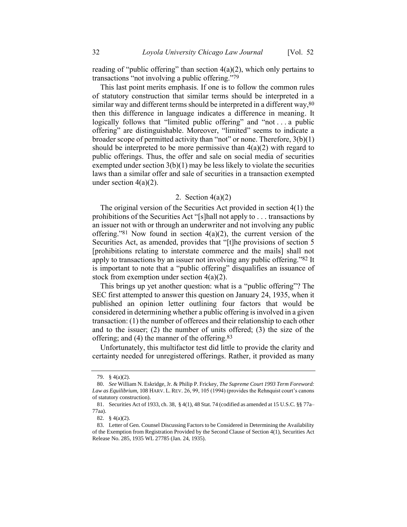reading of "public offering" than section  $4(a)(2)$ , which only pertains to transactions "not involving a public offering."79

This last point merits emphasis. If one is to follow the common rules of statutory construction that similar terms should be interpreted in a similar way and different terms should be interpreted in a different way,  $80$ then this difference in language indicates a difference in meaning. It logically follows that "limited public offering" and "not ... a public offering" are distinguishable. Moreover, "limited" seems to indicate a broader scope of permitted activity than "not" or none. Therefore, 3(b)(1) should be interpreted to be more permissive than  $4(a)(2)$  with regard to public offerings. Thus, the offer and sale on social media of securities exempted under section  $3(b)(1)$  may be less likely to violate the securities laws than a similar offer and sale of securities in a transaction exempted under section  $4(a)(2)$ .

## 2. Section  $4(a)(2)$

The original version of the Securities Act provided in section 4(1) the prohibitions of the Securities Act "[s]hall not apply to . . . transactions by an issuer not with or through an underwriter and not involving any public offering."81 Now found in section  $4(a)(2)$ , the current version of the Securities Act, as amended, provides that "[t]he provisions of section 5 [prohibitions relating to interstate commerce and the mails] shall not apply to transactions by an issuer not involving any public offering."82 It is important to note that a "public offering" disqualifies an issuance of stock from exemption under section 4(a)(2).

This brings up yet another question: what is a "public offering"? The SEC first attempted to answer this question on January 24, 1935, when it published an opinion letter outlining four factors that would be considered in determining whether a public offering is involved in a given transaction: (1) the number of offerees and their relationship to each other and to the issuer; (2) the number of units offered; (3) the size of the offering; and (4) the manner of the offering.83

Unfortunately, this multifactor test did little to provide the clarity and certainty needed for unregistered offerings. Rather, it provided as many

<sup>79.</sup> § 4(a)(2).

<sup>80.</sup> *See* William N. Eskridge, Jr. & Philip P. Frickey, *The Supreme Court 1993 Term Foreword: Law as Equilibrium*, 108 HARV. L. REV. 26, 99, 105 (1994) (provides the Rehnquist court's canons of statutory construction).

<sup>81.</sup> Securities Act of 1933, ch. 38, § 4(1), 48 Stat. 74 (codified as amended at 15 U.S.C. §§ 77a– 77aa).

<sup>82.</sup> § 4(a)(2).

<sup>83.</sup> Letter of Gen. Counsel Discussing Factors to be Considered in Determining the Availability of the Exemption from Registration Provided by the Second Clause of Section 4(1), Securities Act Release No. 285, 1935 WL 27785 (Jan. 24, 1935).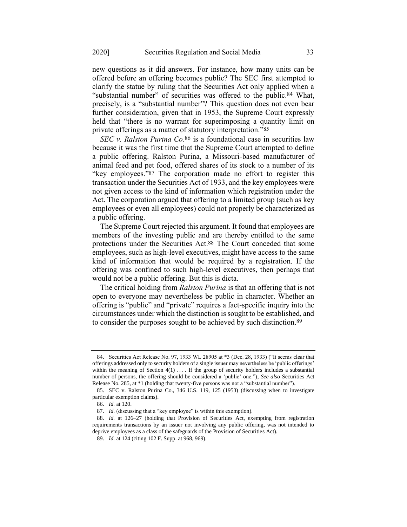new questions as it did answers. For instance, how many units can be offered before an offering becomes public? The SEC first attempted to clarify the statue by ruling that the Securities Act only applied when a "substantial number" of securities was offered to the public.<sup>84</sup> What, precisely, is a "substantial number"? This question does not even bear further consideration, given that in 1953, the Supreme Court expressly held that "there is no warrant for superimposing a quantity limit on private offerings as a matter of statutory interpretation."85

*SEC v. Ralston Purina Co.*86 is a foundational case in securities law because it was the first time that the Supreme Court attempted to define a public offering. Ralston Purina, a Missouri-based manufacturer of animal feed and pet food, offered shares of its stock to a number of its "key employees."87 The corporation made no effort to register this transaction under the Securities Act of 1933, and the key employees were not given access to the kind of information which registration under the Act. The corporation argued that offering to a limited group (such as key employees or even all employees) could not properly be characterized as a public offering.

The Supreme Court rejected this argument. It found that employees are members of the investing public and are thereby entitled to the same protections under the Securities Act.88 The Court conceded that some employees, such as high-level executives, might have access to the same kind of information that would be required by a registration. If the offering was confined to such high-level executives, then perhaps that would not be a public offering. But this is dicta.

The critical holding from *Ralston Purina* is that an offering that is not open to everyone may nevertheless be public in character. Whether an offering is "public" and "private" requires a fact-specific inquiry into the circumstances under which the distinction is sought to be established, and to consider the purposes sought to be achieved by such distinction.89

<sup>84.</sup> Securities Act Release No. 97, 1933 WL 28905 at \*3 (Dec. 28, 1933) ("It seems clear that offerings addressed only to security holders of a single issuer may nevertheless be 'public offerings' within the meaning of Section  $4(1)$ .... If the group of security holders includes a substantial number of persons, the offering should be considered a 'public' one."); *See also* Securities Act Release No. 285, at \*1 (holding that twenty-five persons was not a "substantial number").

<sup>85.</sup> SEC v. Ralston Purina Co., 346 U.S. 119, 125 (1953) (discussing when to investigate particular exemption claims).

<sup>86.</sup> *Id.* at 120.

<sup>87.</sup> *Id*. (discussing that a "key employee" is within this exemption).

<sup>88.</sup> *Id.* at 126–27 (holding that Provision of Securities Act, exempting from registration requirements transactions by an issuer not involving any public offering, was not intended to deprive employees as a class of the safeguards of the Provision of Securities Act).

<sup>89.</sup> *Id.* at 124 (citing 102 F. Supp. at 968, 969).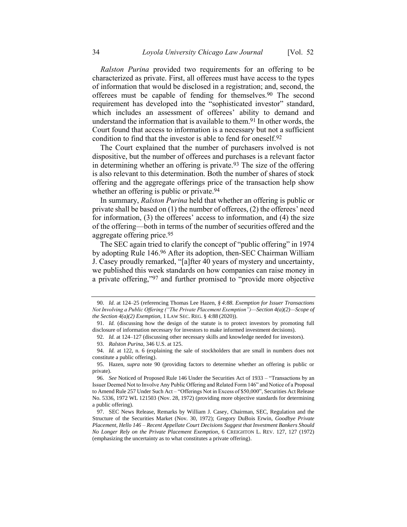<span id="page-20-0"></span>*Ralston Purina* provided two requirements for an offering to be characterized as private. First, all offerees must have access to the types of information that would be disclosed in a registration; and, second, the offerees must be capable of fending for themselves.90 The second requirement has developed into the "sophisticated investor" standard, which includes an assessment of offerees' ability to demand and understand the information that is available to them.<sup>91</sup> In other words, the Court found that access to information is a necessary but not a sufficient condition to find that the investor is able to fend for oneself.92

The Court explained that the number of purchasers involved is not dispositive, but the number of offerees and purchases is a relevant factor in determining whether an offering is private.93 The size of the offering is also relevant to this determination. Both the number of shares of stock offering and the aggregate offerings price of the transaction help show whether an offering is public or private.<sup>94</sup>

In summary, *Ralston Purina* held that whether an offering is public or private shall be based on (1) the number of offerees, (2) the offerees' need for information, (3) the offerees' access to information, and (4) the size of the offering—both in terms of the number of securities offered and the aggregate offering price.95

The SEC again tried to clarify the concept of "public offering" in 1974 by adopting Rule 146.96 After its adoption, then-SEC Chairman William J. Casey proudly remarked, "[a]fter 40 years of mystery and uncertainty, we published this week standards on how companies can raise money in a private offering,"97 and further promised to "provide more objective

<sup>90.</sup> *Id*. at 124–25 (referencing Thomas Lee Hazen, *§ 4:88. Exemption for Issuer Transactions Not Involving a Public Offering ("The Private Placement Exemption")—Section 4(a)(2)—Scope of the Section 4(a)(2) Exemption*, 1 LAW SEC. REG. § 4:88 (2020)).

<sup>91.</sup> *Id.* (discussing how the design of the statute is to protect investors by promoting full disclosure of information necessary for investors to make informed investment decisions).

<sup>92.</sup> *Id.* at 124–127 (discussing other necessary skills and knowledge needed for investors).

<sup>93.</sup> *Ralston Purina*, 346 U.S. at 125.

<sup>94.</sup> *Id.* at 122, n. 6 (explaining the sale of stockholders that are small in numbers does not constitute a public offering).

<sup>95.</sup> Hazen, *supra* note [90](#page-20-0) (providing factors to determine whether an offering is public or private).

<sup>96.</sup> *See* Noticed of Proposed Rule 146 Under the Securities Act of 1933 – "Transactions by an Issuer Deemed Not to Involve Any Public Offering and Related Form 146" and Notice of a Proposal to Amend Rule 257 Under Such Act – "Offerings Not in Excess of \$50,000", Securities Act Release No. 5336, 1972 WL 121503 (Nov. 28, 1972) (providing more objective standards for determining a public offering).

<sup>97.</sup> SEC News Release, Remarks by William J. Casey, Chairman, SEC, Regulation and the Structure of the Securities Market (Nov. 30, 1972); Gregory DuBois Erwin, *Goodbye Private Placement, Hello 146 – Recent Appellate Court Decisions Suggest that Investment Bankers Should No Longer Rely on the Private Placement Exemption*, 6 CREIGHTON L. REV. 127, 127 (1972) (emphasizing the uncertainty as to what constitutes a private offering).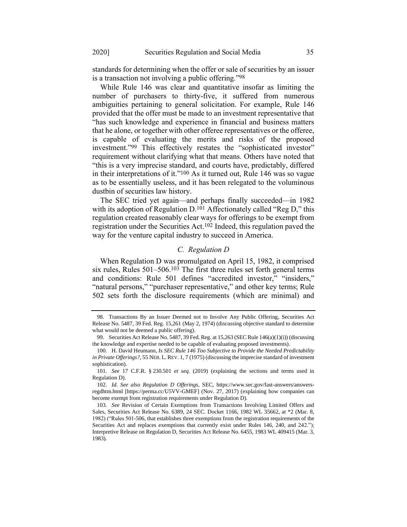standards for determining when the offer or sale of securities by an issuer is a transaction not involving a public offering."98

While Rule 146 was clear and quantitative insofar as limiting the number of purchasers to thirty-five, it suffered from numerous ambiguities pertaining to general solicitation. For example, Rule 146 provided that the offer must be made to an investment representative that "has such knowledge and experience in financial and business matters that he alone, or together with other offeree representatives or the offeree, is capable of evaluating the merits and risks of the proposed investment."99 This effectively restates the "sophisticated investor" requirement without clarifying what that means. Others have noted that "this is a very imprecise standard, and courts have, predictably, differed in their interpretations of it."100 As it turned out, Rule 146 was so vague as to be essentially useless, and it has been relegated to the voluminous dustbin of securities law history.

The SEC tried yet again—and perhaps finally succeeded—in 1982 with its adoption of Regulation D.<sup>101</sup> Affectionately called "Reg D," this regulation created reasonably clear ways for offerings to be exempt from registration under the Securities Act.102 Indeed, this regulation paved the way for the venture capital industry to succeed in America.

## *C. Regulation D*

When Regulation D was promulgated on April 15, 1982, it comprised six rules, Rules 501–506.103 The first three rules set forth general terms and conditions: Rule 501 defines "accredited investor," "insiders," "natural persons," "purchaser representative," and other key terms; Rule 502 sets forth the disclosure requirements (which are minimal) and

<sup>98.</sup> Transactions By an Issuer Deemed not to Involve Any Public Offering, Securities Act Release No. 5487, 39 Fed. Reg. 15,261 (May 2, 1974) (discussing objective standard to determine what would not be deemed a public offering).

<sup>99.</sup> Securities Act Release No. 5487, 39 Fed. Reg. at 15,263 (SEC Rule 146(a)(1)(i)) (discussing the knowledge and expertise needed to be capable of evaluating proposed investments).

<sup>100.</sup> H. David Heumann, *Is SEC Rule 146 Too Subjective to Provide the Needed Predictability in Private Offerings?*, 55 NEB. L. REV. 1, 7 (1975) (discussing the imprecise standard of investment sophistication).

<sup>101.</sup> *See* 17 C.F.R. § 230.501 *et seq.* (2019) (explaining the sections and terms used in Regulation D).

<sup>102.</sup> *Id. See also Regulation D Offerings*, SEC, [https://www.sec.gov/fast-answers/answers](https://www.sec.gov/fast-answers/answers-regdhtm.html)[regdhtm.html](https://www.sec.gov/fast-answers/answers-regdhtm.html) [https://perma.cc/U5VV-GMEF] (Nov. 27, 2017) (explaining how companies can become exempt from registration requirements under Regulation D).

<sup>103.</sup> *See* Revision of Certain Exemptions from Transactions Involving Limited Offers and Sales, Securities Act Release No. 6389, 24 SEC. Docket 1166, 1982 WL 35662, at \*2 (Mar. 8, 1982) ("Rules 501-506, that establishes three exemptions from the registration requirements of the Securities Act and replaces exemptions that currently exist under Rules 146, 240, and 242."); Interpretive Release on Regulation D, Securities Act Release No. 6455, 1983 WL 409415 (Mar. 3, 1983).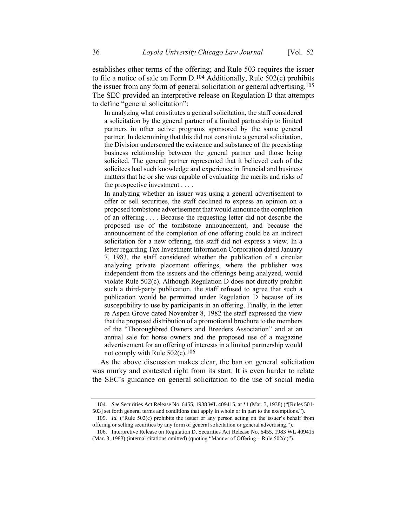establishes other terms of the offering; and Rule 503 requires the issuer to file a notice of sale on Form  $D^{104}$  Additionally, Rule 502(c) prohibits the issuer from any form of general solicitation or general advertising.105 The SEC provided an interpretive release on Regulation D that attempts to define "general solicitation":

In analyzing what constitutes a general solicitation, the staff considered a solicitation by the general partner of a limited partnership to limited partners in other active programs sponsored by the same general partner. In determining that this did not constitute a general solicitation, the Division underscored the existence and substance of the preexisting business relationship between the general partner and those being solicited. The general partner represented that it believed each of the solicitees had such knowledge and experience in financial and business matters that he or she was capable of evaluating the merits and risks of the prospective investment . . . .

In analyzing whether an issuer was using a general advertisement to offer or sell securities, the staff declined to express an opinion on a proposed tombstone advertisement that would announce the completion of an offering . . . . Because the requesting letter did not describe the proposed use of the tombstone announcement, and because the announcement of the completion of one offering could be an indirect solicitation for a new offering, the staff did not express a view. In a letter regarding Tax Investment Information Corporation dated January 7, 1983, the staff considered whether the publication of a circular analyzing private placement offerings, where the publisher was independent from the issuers and the offerings being analyzed, would violate Rule 502(c). Although Regulation D does not directly prohibit such a third-party publication, the staff refused to agree that such a publication would be permitted under Regulation D because of its susceptibility to use by participants in an offering. Finally, in the letter re Aspen Grove dated November 8, 1982 the staff expressed the view that the proposed distribution of a promotional brochure to the members of the "Thoroughbred Owners and Breeders Association" and at an annual sale for horse owners and the proposed use of a magazine advertisement for an offering of interests in a limited partnership would not comply with Rule  $502(c)$ .<sup>106</sup>

As the above discussion makes clear, the ban on general solicitation was murky and contested right from its start. It is even harder to relate the SEC's guidance on general solicitation to the use of social media

<sup>104.</sup> *See* Securities Act Release No. 6455, 1938 WL 409415, at \*1 (Mar. 3, 1938) ("[Rules 501- 503] set forth general terms and conditions that apply in whole or in part to the exemptions.").

<sup>105.</sup> *Id.* ("Rule 502(c) prohibits the issuer or any person acting on the issuer's behalf from offering or selling securities by any form of general solicitation or general advertising.").

<sup>106.</sup> Interpretive Release on Regulation D, Securities Act Release No. 6455, 1983 WL 409415 (Mar. 3, 1983) (internal citations omitted) (quoting "Manner of Offering – Rule 502(c)").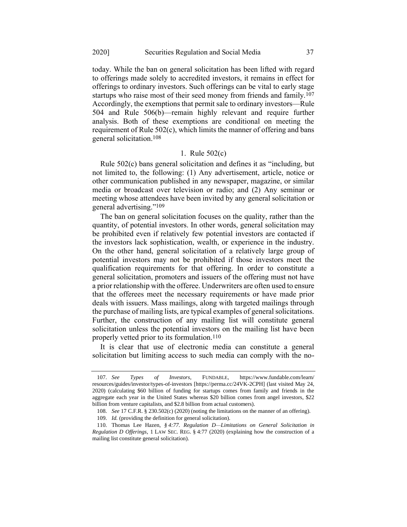today. While the ban on general solicitation has been lifted with regard to offerings made solely to accredited investors, it remains in effect for offerings to ordinary investors. Such offerings can be vital to early stage startups who raise most of their seed money from friends and family.107 Accordingly, the exemptions that permit sale to ordinary investors—Rule 504 and Rule 506(b)—remain highly relevant and require further analysis. Both of these exemptions are conditional on meeting the requirement of Rule 502(c), which limits the manner of offering and bans general solicitation.108

## 1. Rule 502(c)

Rule 502(c) bans general solicitation and defines it as "including, but not limited to, the following: (1) Any advertisement, article, notice or other communication published in any newspaper, magazine, or similar media or broadcast over television or radio; and (2) Any seminar or meeting whose attendees have been invited by any general solicitation or general advertising."109

The ban on general solicitation focuses on the quality, rather than the quantity, of potential investors. In other words, general solicitation may be prohibited even if relatively few potential investors are contacted if the investors lack sophistication, wealth, or experience in the industry. On the other hand, general solicitation of a relatively large group of potential investors may not be prohibited if those investors meet the qualification requirements for that offering. In order to constitute a general solicitation, promoters and issuers of the offering must not have a prior relationship with the offeree. Underwriters are often used to ensure that the offerees meet the necessary requirements or have made prior deals with issuers. Mass mailings, along with targeted mailings through the purchase of mailing lists, are typical examples of general solicitations. Further, the construction of any mailing list will constitute general solicitation unless the potential investors on the mailing list have been properly vetted prior to its formulation.110

<span id="page-23-0"></span>It is clear that use of electronic media can constitute a general solicitation but limiting access to such media can comply with the no-

<sup>107.</sup> *See Types of Investors*, FUNDABLE, https://www.fundable.com/learn/ resources/guides/investor/types-of-investors [https://perma.cc/24VK-2CPH] (last visited May 24, 2020) (calculating \$60 billion of funding for startups comes from family and friends in the aggregate each year in the United States whereas \$20 billion comes from angel investors, \$22 billion from venture capitalists, and \$2.8 billion from actual customers).

<sup>108.</sup> *See* 17 C.F.R. § 230.502(c) (2020) (noting the limitations on the manner of an offering).

<sup>109.</sup> *Id.* (providing the definition for general solicitation).

<sup>110.</sup> Thomas Lee Hazen, *§ 4:77. Regulation D—Limitations on General Solicitation in Regulation D Offerings*, 1 LAW SEC. REG. § 4:77 (2020) (explaining how the construction of a mailing list constitute general solicitation).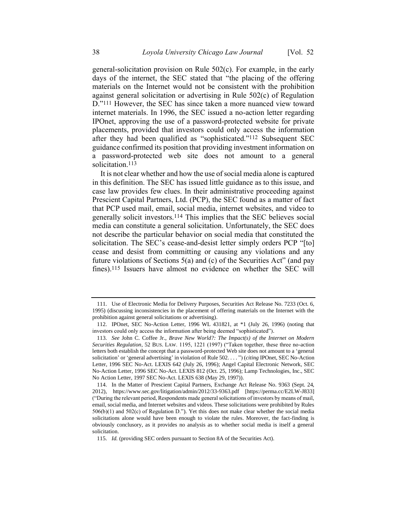general-solicitation provision on Rule 502(c). For example, in the early days of the internet, the SEC stated that "the placing of the offering materials on the Internet would not be consistent with the prohibition against general solicitation or advertising in Rule 502(c) of Regulation D."111 However, the SEC has since taken a more nuanced view toward internet materials. In 1996, the SEC issued a no-action letter regarding IPOnet, approving the use of a password-protected website for private placements, provided that investors could only access the information after they had been qualified as "sophisticated."112 Subsequent SEC guidance confirmed its position that providing investment information on a password-protected web site does not amount to a general solicitation.<sup>113</sup>

It is not clear whether and how the use of social media alone is captured in this definition. The SEC has issued little guidance as to this issue, and case law provides few clues. In their administrative proceeding against Prescient Capital Partners, Ltd. (PCP), the SEC found as a matter of fact that PCP used mail, email, social media, internet websites, and video to generally solicit investors.114 This implies that the SEC believes social media can constitute a general solicitation. Unfortunately, the SEC does not describe the particular behavior on social media that constituted the solicitation. The SEC's cease-and-desist letter simply orders PCP "[to] cease and desist from committing or causing any violations and any future violations of Sections 5(a) and (c) of the Securities Act" (and pay fines).115 Issuers have almost no evidence on whether the SEC will

<sup>111.</sup> Use of Electronic Media for Delivery Purposes, Securities Act Release No. 7233 (Oct. 6, 1995) (discussing inconsistencies in the placement of offering materials on the Internet with the prohibition against general solicitations or advertising).

<sup>112.</sup> IPOnet, SEC No-Action Letter, 1996 WL 431821, at \*1 (July 26, 1996) (noting that investors could only access the information after being deemed "sophisticated").

<sup>113.</sup> *See* John C. Coffee Jr., *Brave New World?: The Impact(s) of the Internet on Modern Securities Regulation*, 52 BUS. LAW. 1195, 1221 (1997) ("Taken together, these three no-action letters both establish the concept that a password-protected Web site does not amount to a 'general solicitation' or 'general advertising' in violation of Rule 502. . . . ") (*citing* IPOnet, SEC No-Action Letter, 1996 SEC No-Act. LEXIS 642 (July 26, 1996); Angel Capital Electronic Network, SEC No-Action Letter, 1996 SEC No-Act. LEXIS 812 (Oct. 25, 1996); Lamp Technologies, Inc., SEC No Action Letter, 1997 SEC No-Act. LEXIS 638 (May 29, 1997)).

<sup>114.</sup> In the Matter of Prescient Capital Partners, Exchange Act Release No. 9363 (Sept. 24, 2012), https://www.sec.gov/litigation/admin/2012/33-9363.pdf [https://perma.cc/E2LW-J833] ("During the relevant period, Respondents made general solicitations of investors by means of mail, email, social media, and Internet websites and videos. These solicitations were prohibited by Rules 506(b)(1) and 502(c) of Regulation D."). Yet this does not make clear whether the social media solicitations alone would have been enough to violate the rules. Moreover, the fact-finding is obviously conclusory, as it provides no analysis as to whether social media is itself a general solicitation.

<sup>115.</sup> *Id.* (providing SEC orders pursuant to Section 8A of the Securities Act).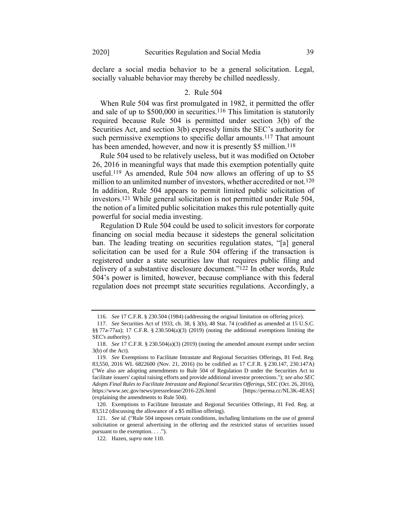declare a social media behavior to be a general solicitation. Legal, socially valuable behavior may thereby be chilled needlessly.

#### 2. Rule 504

When Rule 504 was first promulgated in 1982, it permitted the offer and sale of up to  $$500,000$  in securities.<sup>116</sup> This limitation is statutorily required because Rule 504 is permitted under section 3(b) of the Securities Act, and section 3(b) expressly limits the SEC's authority for such permissive exemptions to specific dollar amounts.<sup>117</sup> That amount has been amended, however, and now it is presently \$5 million.<sup>118</sup>

Rule 504 used to be relatively useless, but it was modified on October 26, 2016 in meaningful ways that made this exemption potentially quite useful.119 As amended, Rule 504 now allows an offering of up to \$5 million to an unlimited number of investors, whether accredited or not.<sup>120</sup> In addition, Rule 504 appears to permit limited public solicitation of investors.121 While general solicitation is not permitted under Rule 504, the notion of a limited public solicitation makes this rule potentially quite powerful for social media investing.

Regulation D Rule 504 could be used to solicit investors for corporate financing on social media because it sidesteps the general solicitation ban. The leading treating on securities regulation states, "[a] general solicitation can be used for a Rule 504 offering if the transaction is registered under a state securities law that requires public filing and delivery of a substantive disclosure document."122 In other words, Rule 504's power is limited, however, because compliance with this federal regulation does not preempt state securities regulations. Accordingly, a

<sup>116.</sup> *See* 17 C.F.R. § 230.504 (1984) (addressing the original limitation on offering price).

<sup>117.</sup> *See* Securities Act of 1933, ch. 38, § 3(b), 48 Stat. 74 (codified as amended at 15 U.S.C. §§ 77a-77aa); 17 C.F.R. § 230.504(a)(3) (2019) (noting the additional exemptions limiting the SEC's authority).

<sup>118.</sup> *See* 17 C.F.R. § 230.504(a)(3) (2019) (noting the amended amount exempt under section 3(b) of the Act).

<sup>119.</sup> *See* Exemptions to Facilitate Intrastate and Regional Securities Offerings, 81 Fed. Reg. 83,550, 2016 WL 6822600 (Nov. 21, 2016) (to be codified as 17 C.F.R. § 230.147, 230.147A) ("We also are adopting amendments to Rule 504 of Regulation D under the Securities Act to facilitate issuers' capital raising efforts and provide additional investor protections."); *see also SEC Adopts Final Rules to Facilitate Intrastate and Regional Securities Offerings*, SEC (Oct. 26, 2016), https://www.sec.gov/news/pressrelease/2016-226.html [https://perma.cc/NL3K-4EAS] (explaining the amendments to Rule 504).

<sup>120.</sup> Exemptions to Facilitate Intrastate and Regional Securities Offerings, 81 Fed. Reg. at 83,512 (discussing the allowance of a \$5 million offering).

<sup>121.</sup> *See id.* ("Rule 504 imposes certain conditions, including limitations on the use of general solicitation or general advertising in the offering and the restricted status of securities issued pursuant to the exemption. . . .").

<sup>122.</sup> Hazen, *supra* not[e 110.](#page-23-0)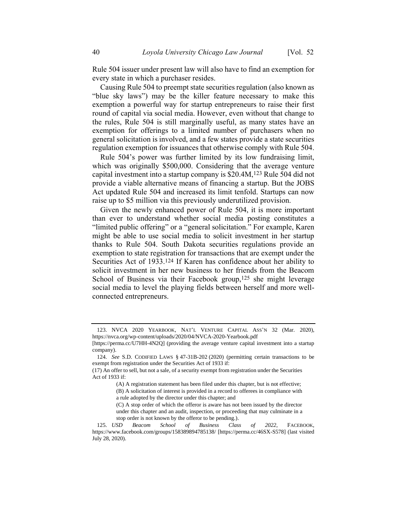Rule 504 issuer under present law will also have to find an exemption for every state in which a purchaser resides.

Causing Rule 504 to preempt state securities regulation (also known as "blue sky laws") may be the killer feature necessary to make this exemption a powerful way for startup entrepreneurs to raise their first round of capital via social media. However, even without that change to the rules, Rule 504 is still marginally useful, as many states have an exemption for offerings to a limited number of purchasers when no general solicitation is involved, and a few states provide a state securities regulation exemption for issuances that otherwise comply with Rule 504.

Rule 504's power was further limited by its low fundraising limit, which was originally \$500,000. Considering that the average venture capital investment into a startup company is \$20.4M,123 Rule 504 did not provide a viable alternative means of financing a startup. But the JOBS Act updated Rule 504 and increased its limit tenfold. Startups can now raise up to \$5 million via this previously underutilized provision.

Given the newly enhanced power of Rule 504, it is more important than ever to understand whether social media posting constitutes a "limited public offering" or a "general solicitation." For example, Karen might be able to use social media to solicit investment in her startup thanks to Rule 504. South Dakota securities regulations provide an exemption to state registration for transactions that are exempt under the Securities Act of 1933.124 If Karen has confidence about her ability to solicit investment in her new business to her friends from the Beacom School of Business via their Facebook group,<sup>125</sup> she might leverage social media to level the playing fields between herself and more wellconnected entrepreneurs.

<sup>123.</sup> NVCA 2020 YEARBOOK, NAT'L VENTURE CAPITAL ASS'N 32 (Mar. 2020), https://nvca.org/wp-content/uploads/2020/04/NVCA-2020-Yearbook.pdf

<sup>[</sup>https://perma.cc/U7HH-4N2Q] (providing the average venture capital investment into a startup company).

<sup>124.</sup> *See* S.D. CODIFIED LAWS § 47-31B-202 (2020) (permitting certain transactions to be exempt from registration under the Securities Act of 1933 if:

<sup>(17)</sup> An offer to sell, but not a sale, of a security exempt from registration under the Securities Act of 1933 if:

<sup>(</sup>A) A registration statement has been filed under this chapter, but is not effective;

<sup>(</sup>B) A solicitation of interest is provided in a record to offerees in compliance with a rule adopted by the director under this chapter; and

<sup>(</sup>C) A stop order of which the offeror is aware has not been issued by the director under this chapter and an audit, inspection, or proceeding that may culminate in a stop order is not known by the offeror to be pending.).

<sup>125.</sup> *USD Beacom School of Business Class of 2022*, FACEBOOK, https://www.facebook.com/groups/158389894785138/ [https://perma.cc/46SX-S578] (last visited July 28, 2020).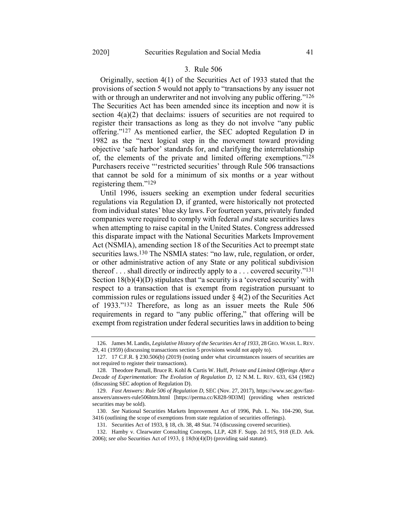### <span id="page-27-1"></span>3. Rule 506

Originally, section 4(1) of the Securities Act of 1933 stated that the provisions of section 5 would not apply to "transactions by any issuer not with or through an underwriter and not involving any public offering."<sup>126</sup> The Securities Act has been amended since its inception and now it is section  $4(a)(2)$  that declaims: issuers of securities are not required to register their transactions as long as they do not involve "any public offering."127 As mentioned earlier, the SEC adopted Regulation D in 1982 as the "next logical step in the movement toward providing objective 'safe harbor' standards for, and clarifying the interrelationship of, the elements of the private and limited offering exemptions."128 Purchasers receive "'restricted securities' through Rule 506 transactions that cannot be sold for a minimum of six months or a year without registering them."129

<span id="page-27-0"></span>Until 1996, issuers seeking an exemption under federal securities regulations via Regulation D, if granted, were historically not protected from individual states' blue sky laws. For fourteen years, privately funded companies were required to comply with federal *and* state securities laws when attempting to raise capital in the United States. Congress addressed this disparate impact with the National Securities Markets Improvement Act (NSMIA), amending section 18 of the Securities Act to preempt state securities laws.<sup>130</sup> The NSMIA states: "no law, rule, regulation, or order, or other administrative action of any State or any political subdivision thereof  $\dots$  shall directly or indirectly apply to a  $\dots$  covered security."<sup>131</sup> Section  $18(b)(4)(D)$  stipulates that "a security is a 'covered security' with respect to a transaction that is exempt from registration pursuant to commission rules or regulations issued under  $\S$  4(2) of the Securities Act of 1933."132 Therefore, as long as an issuer meets the Rule 506 requirements in regard to "any public offering," that offering will be exempt from registration under federal securities laws in addition to being

<sup>126.</sup> James M. Landis, *Legislative History of the Securities Act of 1933*, 28 GEO. WASH. L. REV. 29, 41 (1959) (discussing transactions section 5 provisions would not apply to).

<sup>127.</sup> 17 C.F.R. § 230.506(b) (2019) (noting under what circumstances issuers of securities are not required to register their transactions).

<sup>128.</sup> Theodore Parnall, Bruce R. Kohl & Curtis W. Huff, *Private and Limited Offerings After a Decade of Experimentation: The Evolution of Regulation D*, 12 N.M. L. REV. 633, 634 (1982) (discussing SEC adoption of Regulation D).

<sup>129.</sup> *Fast Answers: Rule 506 of Regulation D*, SEC (Nov. 27, 2017), https://www.sec.gov/fastanswers/answers-rule506htm.html [https://perma.cc/K828-9D3M] (providing when restricted securities may be sold).

<sup>130.</sup> *See* National Securities Markets Improvement Act of 1996, Pub. L. No. 104-290, Stat. 3416 (outlining the scope of exemptions from state regulation of securities offerings).

<sup>131.</sup> Securities Act of 1933, § 18, ch. 38, 48 Stat. 74 (discussing covered securities).

<sup>132.</sup> Hamby v. Clearwater Consulting Concepts, LLP, 428 F. Supp. 2d 915, 918 (E.D. Ark. 2006); *see also* Securities Act of 1933, § 18(b)(4)(D) (providing said statute).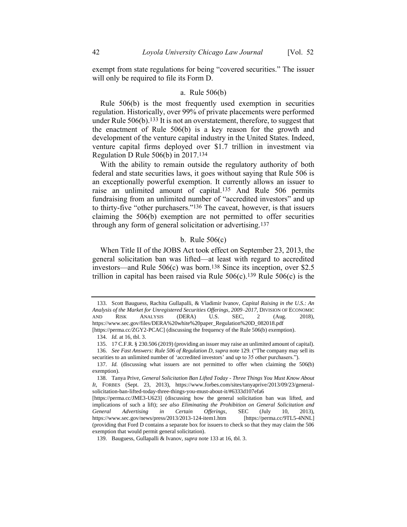exempt from state regulations for being "covered securities." The issuer will only be required to file its Form D.

#### <span id="page-28-0"></span>a. Rule 506(b)

Rule 506(b) is the most frequently used exemption in securities regulation. Historically, over 99% of private placements were performed under Rule  $506(b)$ .<sup>133</sup> It is not an overstatement, therefore, to suggest that the enactment of Rule 506(b) is a key reason for the growth and development of the venture capital industry in the United States. Indeed, venture capital firms deployed over \$1.7 trillion in investment via Regulation D Rule 506(b) in 2017.134

With the ability to remain outside the regulatory authority of both federal and state securities laws, it goes without saying that Rule 506 is an exceptionally powerful exemption. It currently allows an issuer to raise an unlimited amount of capital.135 And Rule 506 permits fundraising from an unlimited number of "accredited investors" and up to thirty-five "other purchasers."136 The caveat, however, is that issuers claiming the 506(b) exemption are not permitted to offer securities through any form of general solicitation or advertising.137

#### <span id="page-28-1"></span>b. Rule 506(c)

When Title II of the JOBS Act took effect on September 23, 2013, the general solicitation ban was lifted—at least with regard to accredited investors—and Rule 506(c) was born.138 Since its inception, over \$2.5 trillion in capital has been raised via Rule  $506(c)$ .<sup>139</sup> Rule  $506(c)$  is the

<sup>133.</sup> Scott Bauguess, Rachita Gullapalli, & Vladimir Ivanov, *Capital Raising in the U.S.: An Analysis of the Market for Unregistered Securities Offerings, 2009–2017*, DIVISION OF ECONOMIC AND RISK ANALYSIS (DERA) U.S. SEC, 2 (Aug. 2018), https://www.sec.gov/files/DERA%20white%20paper\_Regulation%20D\_082018.pdf

<sup>[</sup>https://perma.cc/ZGY2-PCAC] (discussing the frequency of the Rule 506(b) exemption).

<sup>134.</sup> *[Id.](file:///C:/Users/ericaachepohl/Downloads/Id)* at 16, tbl. 3.

<sup>135.</sup> 17 C.F.R. § 230.506 (2019) (providing an issuer may raise an unlimited amount of capital).

<sup>136.</sup> *See Fast Answers: Rule 506 of Regulation D*, *supra* not[e 129.](#page-27-0) ("The company may sell its securities to an unlimited number of 'accredited investors' and up to 35 other purchasers.").

<sup>137.</sup> *Id.* (discussing what issuers are not permitted to offer when claiming the 506(b) exemption).

<sup>138.</sup> Tanya Prive, *General Solicitation Ban Lifted Today - Three Things You Must Know About It*, FORBES (Sept. 23, 2013), https://www.forbes.com/sites/tanyaprive/2013/09/23/generalsolicitation-ban-lifted-today-three-things-you-must-about-it/#6333d107efa6

<sup>[</sup>https://perma.cc/JME3-U623] (discussing how the general solicitation ban was lifted, and implications of such a lift); *see also Eliminating the Prohibition on General Solicitation and General Advertising in Certain Offerings*, SEC (July 10, 2013), https://www.sec.gov/news/press/2013/2013-124-item1.htm [https://perma.cc/9TL5-4NNL] (providing that Ford D contains a separate box for issuers to check so that they may claim the 506 exemption that would permit general solicitation).

<sup>139.</sup> Bauguess, Gullapalli & Ivanov, *supra* not[e 133](#page-28-0) at 16, tbl. 3.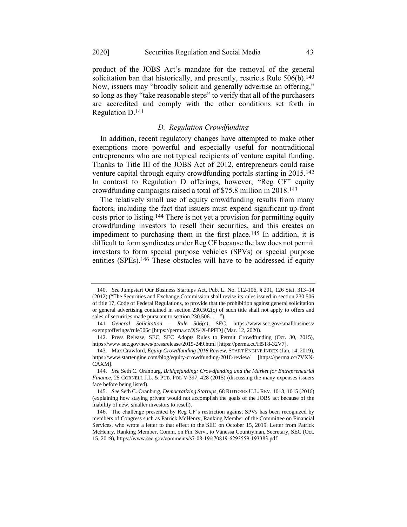product of the JOBS Act's mandate for the removal of the general solicitation ban that historically, and presently, restricts Rule 506(b).<sup>140</sup> Now, issuers may "broadly solicit and generally advertise an offering," so long as they "take reasonable steps" to verify that all of the purchasers are accredited and comply with the other conditions set forth in Regulation D.141

#### <span id="page-29-0"></span>*D. Regulation Crowdfunding*

In addition, recent regulatory changes have attempted to make other exemptions more powerful and especially useful for nontraditional entrepreneurs who are not typical recipients of venture capital funding. Thanks to Title III of the JOBS Act of 2012, entrepreneurs could raise venture capital through equity crowdfunding portals starting in 2015.142 In contrast to Regulation D offerings, however, "Reg CF" equity crowdfunding campaigns raised a total of \$75.8 million in 2018.143

The relatively small use of equity crowdfunding results from many factors, including the fact that issuers must expend significant up-front costs prior to listing.144 There is not yet a provision for permitting equity crowdfunding investors to resell their securities, and this creates an impediment to purchasing them in the first place.145 In addition, it is difficult to form syndicates under Reg CF because the law does not permit investors to form special purpose vehicles (SPVs) or special purpose entities (SPEs).146 These obstacles will have to be addressed if equity

<sup>140.</sup> *See* [Jumpstart Our Business Startups Act,](https://www.congress.gov/bill/116th-congress/house-bill/41/text?q=%7B%22search%22%3A%5B%22JUMPSTART+OUR+BUSINESS+STARTUPS+ACT%22%5D%7D&r=1&s=1) Pub. L. No. 112-106, § 201, 126 Stat. 313–14 (2012) ("The Securities and Exchange Commission shall revise its rules issued in section 230.506 of title 17, Code of Federal Regulations, to provide that the prohibition against general solicitation or general advertising contained in section 230.502(c) of such title shall not apply to offers and sales of securities made pursuant to section 230.506. . . .").

<sup>141.</sup> *General Solicitation – Rule 506(c)*, SEC, https://www.sec.gov/smallbusiness/ exemptofferings/rule506c [https://perma.cc/XS4X-8PFD] (Mar. 12, 2020).

<sup>142.</sup> Press Release, SEC, SEC Adopts Rules to Permit Crowdfunding (Oct. 30, 2015), https://www.sec.gov/news/pressrelease/2015-249.html [https://perma.cc/H5T8-32V7].

<sup>143.</sup> Max Crawford, *Equity Crowdfunding 2018 Review*, START ENGINE INDEX (Jan. 14, 2019), https://www.startengine.com/blog/equity-crowdfunding-2018-review/ [https://perma.cc/7VXN-CAXM].

<sup>144.</sup> *See* Seth C. Oranburg, *Bridgefunding: Crowdfunding and the Market for Entrepreneurial Finance*, 25 CORNELL J.L. & PUB. POL'Y 397, 428 (2015) (discussing the many expenses issuers face before being listed).

<sup>145.</sup> *See* Seth C. Oranburg, *Democratizing Startups*, 68 RUTGERS U.L. REV. 1013, 1015 (2016) (explaining how staying private would not accomplish the goals of the JOBS act because of the inability of new, smaller investors to resell).

<sup>146.</sup> The challenge presented by Reg CF's restriction against SPVs has been recognized by members of Congress such as Patrick McHenry, Ranking Member of the Committee on Financial Services, who wrote a letter to that effect to the SEC on October 15, 2019. Letter from Patrick McHenry, Ranking Member, Comm. on Fin. Serv., to Vanessa Countryman, Secretary, SEC (Oct. 15, 2019), https://www.sec.gov/comments/s7-08-19/s70819-6293559-193383.pdf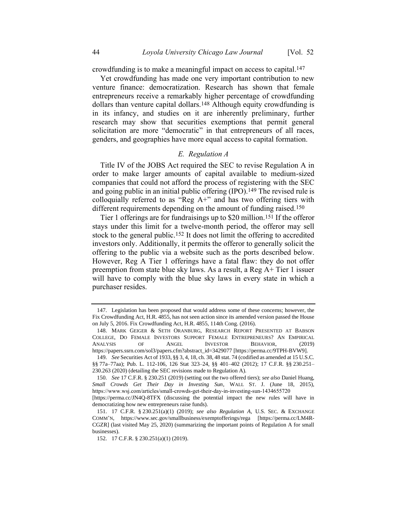crowdfunding is to make a meaningful impact on access to capital.147

Yet crowdfunding has made one very important contribution to new venture finance: democratization. Research has shown that female entrepreneurs receive a remarkably higher percentage of crowdfunding dollars than venture capital dollars.148 Although equity crowdfunding is in its infancy, and studies on it are inherently preliminary, further research may show that securities exemptions that permit general solicitation are more "democratic" in that entrepreneurs of all races, genders, and geographies have more equal access to capital formation.

## *E. Regulation A*

Title IV of the JOBS Act required the SEC to revise Regulation A in order to make larger amounts of capital available to medium-sized companies that could not afford the process of registering with the SEC and going public in an initial public offering (IPO).<sup>149</sup> The revised rule is colloquially referred to as "Reg  $A+$ " and has two offering tiers with different requirements depending on the amount of funding raised.<sup>150</sup>

Tier 1 offerings are for fundraisings up to \$20 million.151 If the offeror stays under this limit for a twelve-month period, the offeror may sell stock to the general public.152 It does not limit the offering to accredited investors only. Additionally, it permits the offeror to generally solicit the offering to the public via a website such as the ports described below. However, Reg A Tier 1 offerings have a fatal flaw: they do not offer preemption from state blue sky laws. As a result, a Reg A+ Tier 1 issuer will have to comply with the blue sky laws in every state in which a purchaser resides.

<sup>147.</sup> Legislation has been proposed that would address some of these concerns; however, the Fix Crowdfunding Act, H.R. 4855, has not seen action since its amended version passed the House on July 5, 2016. Fix Crowdfunding Act, H.R. 4855, 114th Cong. (2016).

<sup>148.</sup> MARK GEIGER & SETH ORANBURG, RESEARCH REPORT PRESENTED AT BABSON COLLEGE, DO FEMALE INVESTORS SUPPORT FEMALE ENTREPRENEURS? AN EMPIRICAL ANALYSIS OF ANGEL INVESTOR BEHAVIOR, (2019) https://papers.ssrn.com/sol3/papers.cfm?abstract\_id=3429077 [https://perma.cc/9TPH-BVW9].

<sup>149.</sup> *See* Securities Act of 1933, §§ 3, 4, 18, ch. 38, 48 stat. 74 (codified as amended at 15 U.S.C. §§ 77a–77aa); Pub. L. 112-106, 126 Stat 323–24, §§ 401–402 (2012); 17 C.F.R. §§ 230.251– 230.263 (2020) (detailing the SEC revisions made to Regulation A).

<sup>150.</sup> *See* 17 C.F.R. § 230.251 (2019) (setting out the two offered tiers); *see also* Daniel Huang, *Small Crowds Get Their Day in Investing Sun*, WALL ST. J. (June 18, 2015), https://www.wsj.com/articles/small-crowds-get-their-day-in-investing-sun-1434655720 [https://perma.cc/JN4Q-8TFX (discussing the potential impact the new rules will have in

democratizing how new entrepreneurs raise funds).

<sup>151.</sup> 17 C.F.R. § 230.251(a)(1) (2019); *see also Regulation A*, U.S. SEC. & EXCHANGE COMM'N, https://www.sec.gov/smallbusiness/exemptofferings/rega [https://perma.cc/LM4R-CGZR] (last visited May 25, 2020) (summarizing the important points of Regulation A for small businesses).

<sup>152.</sup> 17 C.F.R. § 230.251(a)(1) (2019).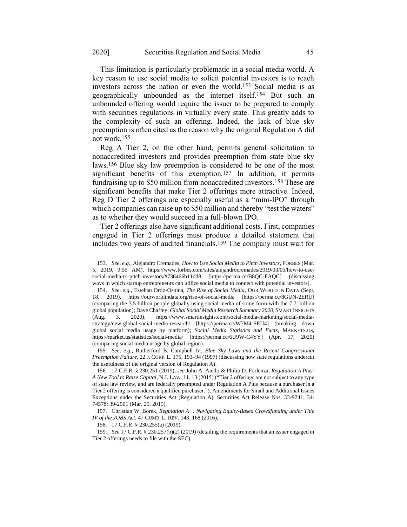This limitation is particularly problematic in a social media world. A key reason to use social media to solicit potential investors is to reach investors across the nation or even the world.153 Social media is as geographically unbounded as the internet itself.154 But such an unbounded offering would require the issuer to be prepared to comply with securities regulations in virtually every state. This greatly adds to the complexity of such an offering. Indeed, the lack of blue sky preemption is often cited as the reason why the original Regulation A did not work.155

<span id="page-31-0"></span>Reg A Tier 2, on the other hand, permits general solicitation to nonaccredited investors and provides preemption from state blue sky laws.156 Blue sky law preemption is considered to be one of the most significant benefits of this exemption.157 In addition, it permits fundraising up to \$50 million from nonaccredited investors.158 These are significant benefits that make Tier 2 offerings more attractive. Indeed, Reg D Tier 2 offerings are especially useful as a "mini-IPO" through which companies can raise up to \$50 million and thereby "test the waters" as to whether they would succeed in a full-blown IPO.

Tier 2 offerings also have significant additional costs. First, companies engaged in Tier 2 offerings must produce a detailed statement that includes two years of audited financials.159 The company must wait for

158. 17 C.F.R. § 230.255(a) (2019).

159. *See* 17 C.F.R. § 230.257(b)(2) (2019) (detailing the requirements that an issuer engaged in Tier 2 offerings needs to file with the SEC).

<sup>153.</sup> *See, e.g.*, Alejandro Cremades, *How to Use Social Media to Pitch Investors*, FORBES (Mar. 5, 2019, 9:55 AM), https://www.forbes.com/sites/alejandrocremades/2019/03/05/how-to-usesocial-media-to-pitch-investors/#736466b11dd8 [https://perma.cc/B8QC-FAQC] (discussing ways in which startup entrepreneurs can utilize social media to connect with potential investors).

<sup>154.</sup> *See, e.g.*, Esteban Ortiz-Ospina, *The Rise of Social Media*, OUR WORLD IN DATA (Sept. 18, 2019), https://ourworldindata.org/rise-of-social-media [https://perma.cc/8GUN-2ERU] (comparing the 3.5 billion people globally using social media of some form with the 7.7. billion global population); Dave Chaffey, *Global Social Media Research Summary 2020*, SMART INSIGHTS (Aug. 3, 2020), https://www.smartinsights.com/social-media-marketing/social-mediastrategy/new-global-social-media-research/ [https://perma.cc/W7M4-SEU4] (breaking down global social media usage by platform); *Social Media Statistics and Facts*, MARKETS.US, https://market.us/statistics/social-media/ [https://perma.cc/6U9W-C4YY] (Apr. 17, 2020) (comparing social media usage by global region).

<sup>155.</sup> *See, e.g.*, Rutherford B. Campbell Jr., *Blue Sky Laws and the Recent Congressional Preemption Failure*, 22 J. CORP. L. 175, 193–94 (1997) (discussing how state regulations undercut the usefulness of the original version of Regulation A).

<sup>156.</sup> 17 C.F.R. § 230.251 (2019); *see* John A. Aiello & Philip D. Forlenza, *Regulation A Plus: A New Tool to Raise Capital*, N.J. LAW. 11, 13 (2015) ("Tier 2 offerings are not subject to any type of state law review, and are federally preempted under Regulation A Plus because a purchaser in a Tier 2 offering is considered a qualified purchaser."); Amendments for Small and Additional Issues Exceptions under the Securities Act (Regulation A), Securities Act Release Nos. 33-9741; 34- 74578; 39-2501 (Mar. 25, 2015).

<sup>157.</sup> Christian W. Borek, *Regulation A+: Navigating Equity-Based Crowdfunding under Title IV of the JOBS Act*, 47 CUMB. L. REV. 143, 168 (2016).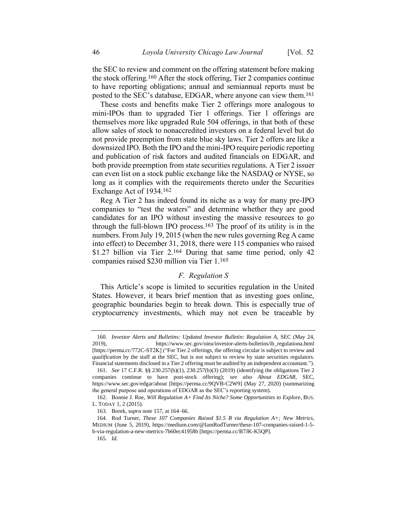the SEC to review and comment on the offering statement before making the stock offering.160 After the stock offering, Tier 2 companies continue to have reporting obligations; annual and semiannual reports must be posted to the SEC's database, EDGAR, where anyone can view them.161

These costs and benefits make Tier 2 offerings more analogous to mini-IPOs than to upgraded Tier 1 offerings. Tier 1 offerings are themselves more like upgraded Rule 504 offerings, in that both of these allow sales of stock to nonaccredited investors on a federal level but do not provide preemption from state blue sky laws. Tier 2 offers are like a downsized IPO. Both the IPO and the mini-IPO require periodic reporting and publication of risk factors and audited financials on EDGAR, and both provide preemption from state securities regulations. A Tier 2 issuer can even list on a stock public exchange like the NASDAQ or NYSE, so long as it complies with the requirements thereto under the Securities Exchange Act of 1934.162

Reg A Tier 2 has indeed found its niche as a way for many pre-IPO companies to "test the waters" and determine whether they are good candidates for an IPO without investing the massive resources to go through the full-blown IPO process.163 The proof of its utility is in the numbers. From July 19, 2015 (when the new rules governing Reg A came into effect) to December 31, 2018, there were 115 companies who raised \$1.27 billion via Tier 2.164 During that same time period, only 42 companies raised \$230 million via Tier 1.165

## <span id="page-32-0"></span>*F. Regulation S*

This Article's scope is limited to securities regulation in the United States. However, it bears brief mention that as investing goes online, geographic boundaries begin to break down. This is especially true of cryptocurrency investments, which may not even be traceable by

<sup>160.</sup> *Investor Alerts and Bulletins: Updated Investor Bulletin: Regulation A*, SEC (May 24, 2019), https://www.sec.gov/oiea/investor-alerts-bulletins/ib\_regulationa.html [https://perma.cc/772C-ST2K] ("For Tier 2 offerings, the offering circular is subject to review and *qualification* by the staff at the SEC, but is not subject to review by state securities regulators. Financial statements disclosed in a Tier 2 offering must be audited by an independent accountant.").

<sup>161.</sup> *See* 17 C.F.R. §§ 230.257(b)(1), 230.257(b)(3) (2019) (identifying the obligations Tier 2 companies continue to have post-stock offering); *see also About EDGAR*, SEC, https://www.sec.gov/edgar/about [https://perma.cc/9QVB-C2W9] (May 27, 2020) (summarizing the general purpose and operations of EDGAR as the SEC's reporting system).

<sup>162.</sup> Bonnie J. Roe, *Will Regulation A+ Find Its Niche? Some Opportunities to Explore*, BUS. L. TODAY 1, 2 (2015).

<sup>163.</sup> Borek, *supra* not[e 157,](#page-31-0) at 164–66.

<sup>164.</sup> Rod Turner, *These 107 Companies Raised \$1.5 B via Regulation A+; New Metrics*, MEDIUM (June 5, 2019), https://medium.com/@IamRodTurner/these-107-companies-raised-1-5 b-via-regulation-a-new-metrics-7b60ec41958b [https://perma.cc/B7JK-K5QP].

<sup>165.</sup> *Id.*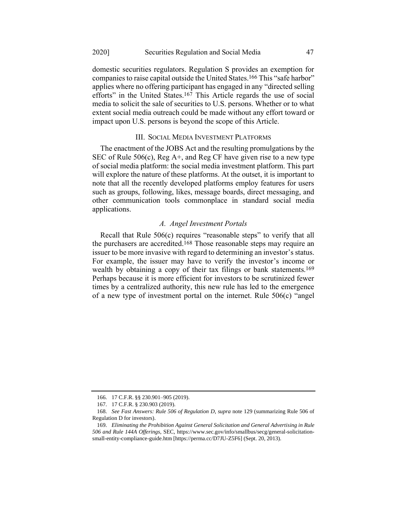domestic securities regulators. Regulation S provides an exemption for companies to raise capital outside the United States. 166 This "safe harbor" applies where no offering participant has engaged in any "directed selling efforts" in the United States.<sup>167</sup> This Article regards the use of social media to solicit the sale of securities to U.S. persons. Whether or to what extent social media outreach could be made without any effort toward or impact upon U.S. persons is beyond the scope of this Article.

## III. SOCIAL MEDIA INVESTMENT PLATFORMS

The enactment of the JOBS Act and the resulting promulgations by the SEC of Rule  $506(c)$ , Reg A+, and Reg CF have given rise to a new type of social media platform: the social media investment platform. This part will explore the nature of these platforms. At the outset, it is important to note that all the recently developed platforms employ features for users such as groups, following, likes, message boards, direct messaging, and other communication tools commonplace in standard social media applications.

## *A. Angel Investment Portals*

Recall that Rule 506(c) requires "reasonable steps" to verify that all the purchasers are accredited.168 Those reasonable steps may require an issuer to be more invasive with regard to determining an investor's status. For example, the issuer may have to verify the investor's income or wealth by obtaining a copy of their tax filings or bank statements.<sup>169</sup> Perhaps because it is more efficient for investors to be scrutinized fewer times by a centralized authority, this new rule has led to the emergence of a new type of investment portal on the internet. Rule 506(c) "angel

<sup>166.</sup> 17 C.F.R. §§ 230.901–905 (2019).

<sup>167.</sup> 17 C.F.R. § 230.903 (2019).

<sup>168.</sup> *See Fast Answers: Rule 506 of Regulation D*, *supra* note [129](#page-27-0) (summarizing Rule 506 of Regulation D for investors).

<sup>169.</sup> *Eliminating the Prohibition Against General Solicitation and General Advertising in Rule 506 and Rule 144A Offerings*, SEC, https://www.sec.gov/info/smallbus/secg/general-solicitationsmall-entity-compliance-guide.htm [https://perma.cc/D7JU-Z5F6] (Sept. 20, 2013).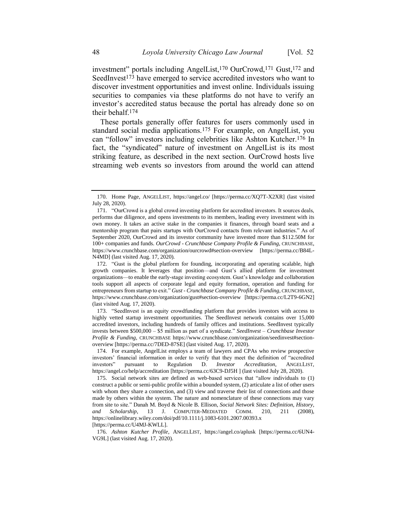investment" portals including AngelList,170 OurCrowd,171 Gust,172 and SeedInvest<sup>173</sup> have emerged to service accredited investors who want to discover investment opportunities and invest online. Individuals issuing securities to companies via these platforms do not have to verify an investor's accredited status because the portal has already done so on their behalf.174

These portals generally offer features for users commonly used in standard social media applications.175 For example, on AngelList, you can "follow" investors including celebrities like Ashton Kutcher.176 In fact, the "syndicated" nature of investment on AngelList is its most striking feature, as described in the next section. OurCrowd hosts live streaming web events so investors from around the world can attend

176. *Ashton Kutcher Profile*, ANGELLIST, https://angel.co/aplusk [https://perma.cc/6UN4- VG9L] (last visited Aug. 17, 2020).

<sup>170.</sup> Home Page, ANGELLIST, https://angel.co/ [https://perma.cc/XQ7T-X2XR] (last visited July 28, 2020).

<sup>171.</sup> "OurCrowd is a global crowd investing platform for accredited investors. It sources deals, performs due diligence, and opens investments to its members, leading every investment with its own money. It takes an active stake in the companies it finances, through board seats and a mentorship program that pairs startups with OurCrowd contacts from relevant industries." As of September 2020, OurCrowd and its investor community have invested more than \$112.50M for 100+ companies and funds. *OurCrowd - Crunchbase Company Profile & Funding*, CRUNCHBASE, https://www.crunchbase.com/organization/ourcrowd#section-overview [https://perma.cc/B84L-N4MD] (last visited Aug. 17, 2020).

<sup>172.</sup> "Gust is the global platform for founding, incorporating and operating scalable, high growth companies. It leverages that position—and Gust's allied platform for investment organizations—to enable the early-stage investing ecosystem. Gust's knowledge and collaboration tools support all aspects of corporate legal and equity formation, operation and funding for entrepreneurs from startup to exit." *Gust - Crunchbase Company Profile & Funding*, CRUNCHBASE, https://www.crunchbase.com/organization/gust#section-overview [https://perma.cc/L2T9-6GN2] (last visited Aug. 17, 2020).

<sup>173.</sup> "SeedInvest is an equity crowdfunding platform that provides investors with access to highly vetted startup investment opportunities. The SeedInvest network contains over 15,000 accredited investors, including hundreds of family offices and institutions. SeedInvest typically invests between \$500,000 – \$5 million as part of a syndicate." *SeedInvest – Crunchbase Investor Profile & Funding*, CRUNCHBASE https://www.crunchbase.com/organization/seedinvest#sectionoverview [https://perma.cc/7DED-87SE] (last visited Aug. 17, 2020).

<sup>174.</sup> For example, AngelList employs a team of lawyers and CPAs who review prospective investors' financial information in order to verify that they meet the definition of "accredited investors" pursuant to Regulation D. *Investor Accreditation*, ANGELLIST, https://angel.co/help/accreditation [https://perma.cc/63C9-DJ5H ] (last visited July 28, 2020).

<sup>175.</sup> Social network sites are defined as web-based services that "allow individuals to (1) construct a public or semi-public profile within a bounded system, (2) articulate a list of other users with whom they share a connection, and (3) view and traverse their list of connections and those made by others within the system. The nature and nomenclature of these connections may vary from site to site." Danah M. Boyd & Nicole B. Ellison, *Social Network Sites: Definition, History, and Scholarship*, 13 J. COMPUTER-MEDIATED COMM. 210, 211 (2008), https://onlinelibrary.wiley.com/doi/pdf/10.1111/j.1083-6101.2007.00393.x [https://perma.cc/U4MJ-KWLL].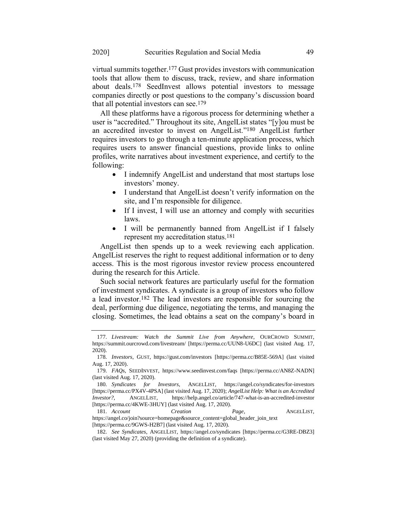virtual summits together.177 Gust provides investors with communication tools that allow them to discuss, track, review, and share information about deals.178 SeedInvest allows potential investors to message companies directly or post questions to the company's discussion board that all potential investors can see.179

All these platforms have a rigorous process for determining whether a user is "accredited." Throughout its site, AngelList states "[y]ou must be an accredited investor to invest on AngelList."180 AngelList further requires investors to go through a ten-minute application process, which requires users to answer financial questions, provide links to online profiles, write narratives about investment experience, and certify to the following:

- I indemnify AngelList and understand that most startups lose investors' money.
- I understand that AngelList doesn't verify information on the site, and I'm responsible for diligence.
- If I invest, I will use an attorney and comply with securities laws.
- I will be permanently banned from AngelList if I falsely represent my accreditation status.181

AngelList then spends up to a week reviewing each application. AngelList reserves the right to request additional information or to deny access. This is the most rigorous investor review process encountered during the research for this Article.

<span id="page-35-0"></span>Such social network features are particularly useful for the formation of investment syndicates. A syndicate is a group of investors who follow a lead investor.182 The lead investors are responsible for sourcing the deal, performing due diligence, negotiating the terms, and managing the closing. Sometimes, the lead obtains a seat on the company's board in

<sup>177.</sup> *Livestream: Watch the Summit Live from Anywhere*, OURCROWD SUMMIT, https://summit.ourcrowd.com/livestream/ [https://perma.cc/UUN8-U6DC] (last visited Aug. 17, 2020).

<sup>178.</sup> *Investors*, GUST, https://gust.com/investors [https://perma.cc/B85E-569A] (last visited Aug. 17, 2020).

<sup>179.</sup> *FAQs*, SEEDINVEST, https://www.seedinvest.com/faqs [https://perma.cc/AN8Z-NADN] (last visited Aug. 17, 2020).

<sup>180.</sup> *Syndicates for Investors*, ANGELLIST, https://angel.co/syndicates/for-investors [https://perma.cc/PX4V-4PSA] (last visited Aug. 17, 2020); *AngelList Help: What is an Accredited Investor?*, ANGELLIST, https://help.angel.co/article/747-what-is-an-accredited-investor [https://perma.cc/4KWE-3HUY] (last visited Aug. 17, 2020).

<sup>181.</sup> *Account Creation Page*, ANGELLIST, https://angel.co/join?source=homepage&source\_content=global\_header\_join\_text [https://perma.cc/9GWS-H2B7] (last visited Aug. 17, 2020).

<sup>182.</sup> *See Syndicates*, ANGELLIST, https://angel.co/syndicates [https://perma.cc/G3RE-DBZ3] (last visited May 27, 2020) (providing the definition of a syndicate).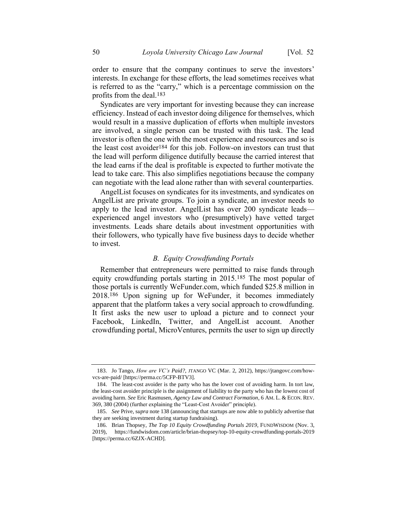order to ensure that the company continues to serve the investors' interests. In exchange for these efforts, the lead sometimes receives what is referred to as the "carry," which is a percentage commission on the profits from the deal.183

Syndicates are very important for investing because they can increase efficiency. Instead of each investor doing diligence for themselves, which would result in a massive duplication of efforts when multiple investors are involved, a single person can be trusted with this task. The lead investor is often the one with the most experience and resources and so is the least cost avoider184 for this job. Follow-on investors can trust that the lead will perform diligence dutifully because the carried interest that the lead earns if the deal is profitable is expected to further motivate the lead to take care. This also simplifies negotiations because the company can negotiate with the lead alone rather than with several counterparties.

AngelList focuses on syndicates for its investments, and syndicates on AngelList are private groups. To join a syndicate, an investor needs to apply to the lead investor. AngelList has over 200 syndicate leads experienced angel investors who (presumptively) have vetted target investments. Leads share details about investment opportunities with their followers, who typically have five business days to decide whether to invest.

### *B. Equity Crowdfunding Portals*

Remember that entrepreneurs were permitted to raise funds through equity crowdfunding portals starting in 2015.185 The most popular of those portals is currently WeFunder.com, which funded \$25.8 million in 2018.186 Upon signing up for WeFunder, it becomes immediately apparent that the platform takes a very social approach to crowdfunding. It first asks the new user to upload a picture and to connect your Facebook, LinkedIn, Twitter, and AngelList account. Another crowdfunding portal, MicroVentures, permits the user to sign up directly

<sup>183.</sup> Jo Tango, *How are VC's Paid?*, JTANGO VC (Mar. 2, 2012), https://jtangovc.com/howvcs-are-paid/ [https://perma.cc/5CFP-BTV3].

<sup>184.</sup> The least-cost avoider is the party who has the lower cost of avoiding harm. In tort law, the least-cost avoider principle is the assignment of liability to the party who has the lowest cost of avoiding harm. *See* Eric Rasmusen, *Agency Law and Contract Formation*, 6 AM. L. & ECON. REV. 369, 380 (2004) (further explaining the "Least-Cost Avoider" principle).

<sup>185.</sup> *See* Prive, s*upra* not[e 138](#page-28-1) (announcing that startups are now able to publicly advertise that they are seeking investment during startup fundraising).

<sup>186.</sup> Brian Thopsey, *The Top 10 Equity Crowdfunding Portals 2019*, FUNDWISDOM (Nov. 3, 2019), https://fundwisdom.com/article/brian-thopsey/top-10-equity-crowdfunding-portals-2019 [https://perma.cc/6ZJX-ACHD].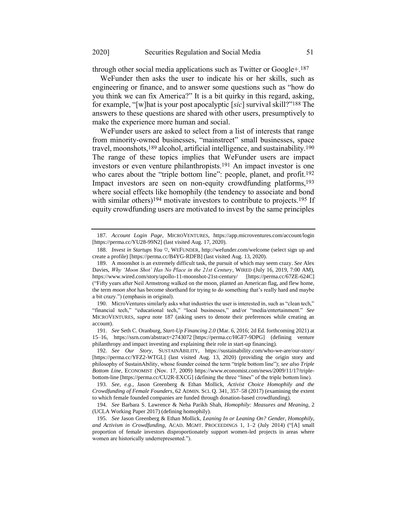<span id="page-37-0"></span>through other social media applications such as Twitter or Google+.187

WeFunder then asks the user to indicate his or her skills, such as engineering or finance, and to answer some questions such as "how do you think we can fix America?" It is a bit quirky in this regard, asking, for example, "[w]hat is your post apocalyptic [*sic*] survival skill?"188 The answers to these questions are shared with other users, presumptively to make the experience more human and social.

WeFunder users are asked to select from a list of interests that range from minority-owned businesses, "mainstreet" small businesses, space travel, moonshots,189 alcohol, artificial intelligence, and sustainability.190 The range of these topics implies that WeFunder users are impact investors or even venture philanthropists.191 An impact investor is one who cares about the "triple bottom line": people, planet, and profit.<sup>192</sup> Impact investors are seen on non-equity crowdfunding platforms,<sup>193</sup> where social effects like homophily (the tendency to associate and bond with similar others)<sup>194</sup> motivate investors to contribute to projects.<sup>195</sup> If equity crowdfunding users are motivated to invest by the same principles

192. *See Our Story*, SUSTAINABILITY, https://sustainability.com/who-we-are/our-story/ [https://perma.cc/YFZ2-WTGL] (last visited Aug. 13, 2020) (providing the origin story and philosophy of SustainAbility, whose founder coined the term "triple bottom line"); *see also Triple Bottom Line*, ECONOMIST (Nov. 17, 2009) https://www.economist.com/news/2009/11/17/triplebottom-line [https://perma.cc/CU2R-EXCG] (defining the three "lines" of the triple bottom line).

193. *See, e.g.*, Jason Greenberg & Ethan Mollick, *Activist Choice Homophily and the Crowdfunding of Female Founders*, 62 ADMIN. SCI. Q. 341, 357–58 (2017) (examining the extent to which female founded companies are funded through donation-based crowdfunding).

194. *See* Barbara S. Lawrence & Neha Parikh Shah, *Homophily: Measures and Meaning*, 2 (UCLA Working Paper 2017) (defining homophily).

195. *See* Jason Greenberg & Ethan Mollick, *Leaning In or Leaning On? Gender, Homophily, and Activism in Crowdfunding*, ACAD. MGMT. PROCEEDINGS 1, 1–2 (July 2014) ("[A] small proportion of female investors disproportionately support women-led projects in areas where women are historically underrepresented.").

<sup>187.</sup> *Account Login Page*, MICROVENTURES, https://app.microventures.com/account/login [https://perma.cc/YU28-99N2] (last visited Aug. 17, 2020).

<sup>188.</sup> *Invest in Startups You* ♡, WEFUNDER, http://wefunder.com/welcome (select sign up and create a profile) [https://perma.cc/B4YG-RDFB] (last visited Aug. 13, 2020).

<sup>189.</sup> A moonshot is an extremely difficult task, the pursuit of which may seem crazy. *See* Alex Davies, *Why 'Moon Shot' Has No Place in the 21st Century*, WIRED (July 16, 2019, 7:00 AM), https://www.wired.com/story/apollo-11-moonshot-21st-century/ [https://perma.cc/67ZE-624C] ("Fifty years after Neil Armstrong walked on the moon, planted an American flag, and flew home, the term *moon shot* has become shorthand for trying to do something that's really hard and maybe a bit crazy.") (emphasis in original).

<sup>190.</sup> MicroVentures similarly asks what industries the user is interested in, such as "clean tech," "financial tech," "educational tech," "local businesses," and/or "media/entertainment." *See*  MICROVENTURES, *supra* note [187](#page-37-0) (asking users to denote their preferences while creating an account).

<sup>191.</sup> *See* Seth C. Oranburg, *Start-Up Financing 2.0* (Mar. 6, 2016; 2d Ed. forthcoming 2021) at 15–16, https://ssrn.com/abstract=2743072 [https://perma.cc/HGF7-9DPG] (defining venture philanthropy and impact investing and explaining their role in start-up financing).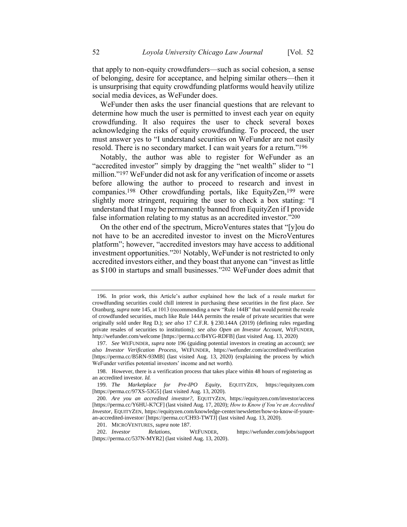that apply to non-equity crowdfunders—such as social cohesion, a sense of belonging, desire for acceptance, and helping similar others—then it is unsurprising that equity crowdfunding platforms would heavily utilize social media devices, as WeFunder does.

WeFunder then asks the user financial questions that are relevant to determine how much the user is permitted to invest each year on equity crowdfunding. It also requires the user to check several boxes acknowledging the risks of equity crowdfunding. To proceed, the user must answer yes to "I understand securities on WeFunder are not easily resold. There is no secondary market. I can wait years for a return."196

<span id="page-38-0"></span>Notably, the author was able to register for WeFunder as an "accredited investor" simply by dragging the "net wealth" slider to "1 million."197 WeFunder did not ask for any verification of income or assets before allowing the author to proceed to research and invest in companies.198 Other crowdfunding portals, like EquityZen,199 were slightly more stringent, requiring the user to check a box stating: "I understand that I may be permanently banned from EquityZen if I provide false information relating to my status as an accredited investor."200

On the other end of the spectrum, MicroVentures states that "[y]ou do not have to be an accredited investor to invest on the MicroVentures platform"; however, "accredited investors may have access to additional investment opportunities."201 Notably, WeFunder is not restricted to only accredited investors either, and they boast that anyone can "invest as little as \$100 in startups and small businesses."202 WeFunder does admit that

<sup>196.</sup> In prior work, this Article's author explained how the lack of a resale market for crowdfunding securities could chill interest in purchasing these securities in the first place. *See* Oranburg, *supra* not[e 145,](#page-29-0) at 1013 (recommending a new "Rule 144B" that would permit the resale of crowdfunded securities, much like Rule 144A permits the resale of private securities that were originally sold under Reg D.); *see also* 17 C.F.R. § 230.144A (2019) (defining rules regarding private resales of securities to institutions); *see also Open an Investor Account*, WEFUNDER, http://wefunder.com/welcome [https://perma.cc/B4YG-RDFB] (last visited Aug. 13, 2020)

<sup>197.</sup> *See* WEFUNDER, *supra* note [196](#page-38-0) (guiding potential investors in creating an account); *see also Investor Verification Process*, WEFUNDER, <https://wefunder.com/accredited/verification> [https://perma.cc/B5RN-93MB] (last visited Aug. 13, 2020) (explaining the process by which WeFunder verifies potential investors' income and net worth).

<sup>198.</sup> However, there is a verification process that takes place within 48 hours of registering as an accredited investor. *Id.*

<sup>199.</sup> *The Marketplace for Pre-IPO Equity*, EQUITYZEN, https://equityzen.com [https://perma.cc/97XS-53G5] (last visited Aug. 13, 2020).

<sup>200.</sup> *Are you an accredited investor?*, EQUITYZEN, https://equityzen.com/investor/access [https://perma.cc/Y6HU-K7CF] (last visited Aug. 17, 2020); *How to Know if You're an Accredited Investor*, EQUITYZEN, https://equityzen.com/knowledge-center/newsletter/how-to-know-if-yourean-accredited-investor/ [https://perma.cc/CH93-TWTJ] (last visited Aug. 13, 2020).

<sup>201.</sup> MICROVENTURES, *supra* not[e 187.](#page-37-0)

<sup>202.</sup> *Investor Relations*, WEFUNDER, https://wefunder.com/jobs/support [https://perma.cc/537N-MYR2] (last visited Aug. 13, 2020).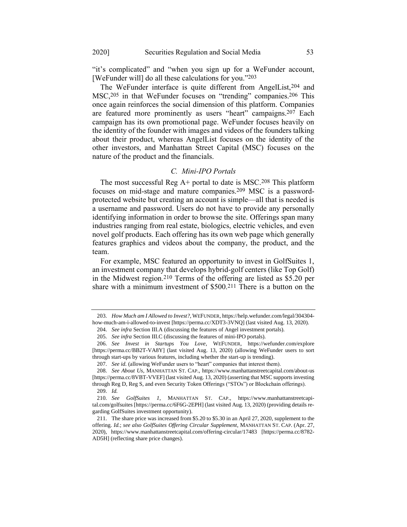"it's complicated" and "when you sign up for a WeFunder account, [WeFunder will] do all these calculations for you."203

The WeFunder interface is quite different from AngelList,<sup>204</sup> and MSC,205 in that WeFunder focuses on "trending" companies.206 This once again reinforces the social dimension of this platform. Companies are featured more prominently as users "heart" campaigns.207 Each campaign has its own promotional page. WeFunder focuses heavily on the identity of the founder with images and videos of the founders talking about their product, whereas AngelList focuses on the identity of the other investors, and Manhattan Street Capital (MSC) focuses on the nature of the product and the financials.

#### <span id="page-39-0"></span>*C. Mini-IPO Portals*

The most successful Reg A+ portal to date is MSC.208 This platform focuses on mid-stage and mature companies.209 MSC is a passwordprotected website but creating an account is simple—all that is needed is a username and password. Users do not have to provide any personally identifying information in order to browse the site. Offerings span many industries ranging from real estate, biologics, electric vehicles, and even novel golf products. Each offering has its own web page which generally features graphics and videos about the company, the product, and the team.

<span id="page-39-1"></span>For example, MSC featured an opportunity to invest in GolfSuites 1, an investment company that develops hybrid-golf centers (like Top Golf) in the Midwest region.210 Terms of the offering are listed as \$5.20 per share with a minimum investment of \$500.211 There is a button on the

<sup>203.</sup> *How Much am I Allowed to Invest?*, WEFUNDER, https://help.wefunder.com/legal/304304 how-much-am-i-allowed-to-invest [https://perma.cc/XDT3-3VNQ] (last visited Aug. 13, 2020).

<sup>204.</sup> *See infra* Section III.A (discussing the features of Angel investment portals).

<sup>205.</sup> *See infra* Section III.C (discussing the features of mini-IPO portals).

<sup>206.</sup> *See Invest in Startups You Love*, WEFUNDER, https://wefunder.com/explore [https://perma.cc/BB2T-VA8Y] (last visited Aug. 13, 2020) (allowing WeFunder users to sort through start-ups by various features, including whether the start-up is trending).

<sup>207.</sup> *See id.* (allowing WeFunder users to "heart" companies that interest them).

<sup>208.</sup> *See About Us*, MANHATTAN ST. CAP., https://www.manhattanstreetcapital.com/about-us [https://perma.cc/8VBT-VVEF] (last visited Aug. 13, 2020) (asserting that MSC supports investing through Reg D, Reg S, and even Security Token Offerings ("STOs") or Blockchain offerings). 209. *Id.*

<sup>210.</sup> *See GolfSuites 1*, MANHATTAN ST. CAP., https://www.manhattanstreetcapital.com/golfsuites [https://perma.cc/6F6G-2EPH] (last visited Aug. 13, 2020) (providing details regarding GolfSuites investment opportunity).

<sup>211.</sup> The share price was increased from \$5.20 to \$5.30 in an April 27, 2020, supplement to the offering. *Id.*; *see also GolfSuites Offering Circular Supplement*, MANHATTAN ST. CAP. (Apr. 27, 2020), https://www.manhattanstreetcapital.com/offering-circular/17483 [https://perma.cc/8782- AD5H] (reflecting share price changes).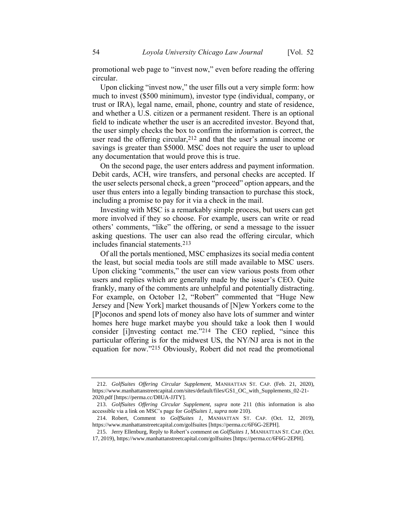promotional web page to "invest now," even before reading the offering circular.

Upon clicking "invest now," the user fills out a very simple form: how much to invest (\$500 minimum), investor type (individual, company, or trust or IRA), legal name, email, phone, country and state of residence, and whether a U.S. citizen or a permanent resident. There is an optional field to indicate whether the user is an accredited investor. Beyond that, the user simply checks the box to confirm the information is correct, the user read the offering circular, <sup>212</sup> and that the user's annual income or savings is greater than \$5000. MSC does not require the user to upload any documentation that would prove this is true.

On the second page, the user enters address and payment information. Debit cards, ACH, wire transfers, and personal checks are accepted. If the user selects personal check, a green "proceed" option appears, and the user thus enters into a legally binding transaction to purchase this stock, including a promise to pay for it via a check in the mail.

Investing with MSC is a remarkably simple process, but users can get more involved if they so choose. For example, users can write or read others' comments, "like" the offering, or send a message to the issuer asking questions. The user can also read the offering circular, which includes financial statements.213

Of all the portals mentioned, MSC emphasizes its social media content the least, but social media tools are still made available to MSC users. Upon clicking "comments," the user can view various posts from other users and replies which are generally made by the issuer's CEO. Quite frankly, many of the comments are unhelpful and potentially distracting. For example, on October 12, "Robert" commented that "Huge New Jersey and [New York] market thousands of [N]ew Yorkers come to the [P]oconos and spend lots of money also have lots of summer and winter homes here huge market maybe you should take a look then I would consider [i]nvesting contact me."214 The CEO replied, "since this particular offering is for the midwest US, the NY/NJ area is not in the equation for now."215 Obviously, Robert did not read the promotional

<sup>212.</sup> *GolfSuites Offering Circular Supplement*, MANHATTAN ST. CAP. (Feb. 21, 2020), https://www.manhattanstreetcapital.com/sites/default/files/GS1\_OC\_with\_Supplements\_02-21- 2020.pdf [https://perma.cc/D8UA-JJTY].

<sup>213.</sup> *GolfSuites Offering Circular Supplement*, *supra* note [211](#page-39-0) (this information is also accessible via a link on MSC's page for *GolfSuites 1*, *supra* not[e 210\)](#page-39-1).

<sup>214.</sup> Robert, Comment to *GolfSuites 1*, MANHATTAN ST. CAP. (Oct. 12, 2019), <https://www.manhattanstreetcapital.com/golfsuites> [https://perma.cc/6F6G-2EPH].

<sup>215.</sup> Jerry Ellenburg, Reply to Robert's comment on *GolfSuites 1*, MANHATTAN ST. CAP. (Oct. 17, 2019),<https://www.manhattanstreetcapital.com/golfsuites> [https://perma.cc/6F6G-2EPH].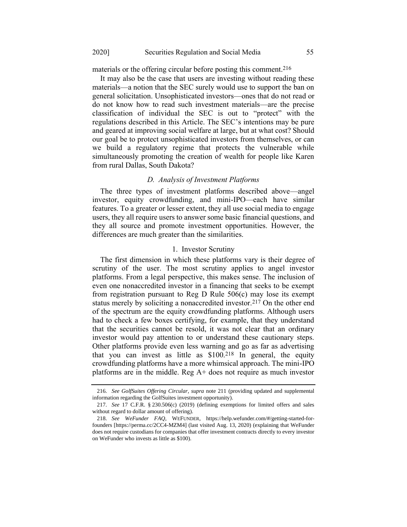materials or the offering circular before posting this comment.216

It may also be the case that users are investing without reading these materials—a notion that the SEC surely would use to support the ban on general solicitation. Unsophisticated investors—ones that do not read or do not know how to read such investment materials—are the precise classification of individual the SEC is out to "protect" with the regulations described in this Article. The SEC's intentions may be pure and geared at improving social welfare at large, but at what cost? Should our goal be to protect unsophisticated investors from themselves, or can we build a regulatory regime that protects the vulnerable while simultaneously promoting the creation of wealth for people like Karen from rural Dallas, South Dakota?

## *D. Analysis of Investment Platforms*

The three types of investment platforms described above—angel investor, equity crowdfunding, and mini-IPO—each have similar features. To a greater or lesser extent, they all use social media to engage users, they all require users to answer some basic financial questions, and they all source and promote investment opportunities. However, the differences are much greater than the similarities.

#### 1. Investor Scrutiny

The first dimension in which these platforms vary is their degree of scrutiny of the user. The most scrutiny applies to angel investor platforms. From a legal perspective, this makes sense. The inclusion of even one nonaccredited investor in a financing that seeks to be exempt from registration pursuant to Reg D Rule 506(c) may lose its exempt status merely by soliciting a nonaccredited investor.217 On the other end of the spectrum are the equity crowdfunding platforms. Although users had to check a few boxes certifying, for example, that they understand that the securities cannot be resold, it was not clear that an ordinary investor would pay attention to or understand these cautionary steps. Other platforms provide even less warning and go as far as advertising that you can invest as little as \$100.218 In general, the equity crowdfunding platforms have a more whimsical approach. The mini-IPO platforms are in the middle. Reg  $A<sup>+</sup>$  does not require as much investor

<sup>216.</sup> *See GolfSuites Offering Circular*, *supra* note [211](#page-39-0) (providing updated and supplemental information regarding the GolfSuites investment opportunity).

<sup>217.</sup> *See* 17 C.F.R. § 230.506(c) (2019) (defining exemptions for limited offers and sales without regard to dollar amount of offering).

<sup>218.</sup> *See WeFunder FAQ*, WEFUNDER, https://help.wefunder.com/#/getting-started-forfounders [https://perma.cc/2CC4-MZM4] (last visited Aug. 13, 2020) (explaining that WeFunder does not require custodians for companies that offer investment contracts directly to every investor on WeFunder who invests as little as \$100).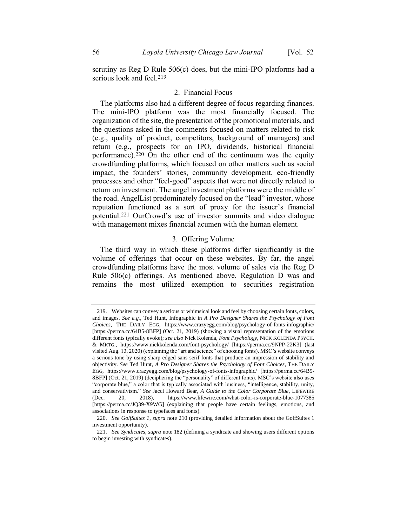scrutiny as Reg D Rule 506(c) does, but the mini-IPO platforms had a serious look and feel.219

## 2. Financial Focus

The platforms also had a different degree of focus regarding finances. The mini-IPO platform was the most financially focused. The organization of the site, the presentation of the promotional materials, and the questions asked in the comments focused on matters related to risk (e.g., quality of product, competitors, background of managers) and return (e.g., prospects for an IPO, dividends, historical financial performance).220 On the other end of the continuum was the equity crowdfunding platforms, which focused on other matters such as social impact, the founders' stories, community development, eco-friendly processes and other "feel-good" aspects that were not directly related to return on investment. The angel investment platforms were the middle of the road. AngelList predominately focused on the "lead" investor, whose reputation functioned as a sort of proxy for the issuer's financial potential.221 OurCrowd's use of investor summits and video dialogue with management mixes financial acumen with the human element.

#### 3. Offering Volume

The third way in which these platforms differ significantly is the volume of offerings that occur on these websites. By far, the angel crowdfunding platforms have the most volume of sales via the Reg D Rule 506(c) offerings. As mentioned above, Regulation D was and remains the most utilized exemption to securities registration

<sup>219.</sup> Websites can convey a serious or whimsical look and feel by choosing certain fonts, colors, and images. *See e.g.*, Ted Hunt, Infographic in *A Pro Designer Shares the Psychology of Font Choices*, THE DAILY EGG, https://www.crazyegg.com/blog/psychology-of-fonts-infographic/ [https://perma.cc/64B5-8BFP] (Oct. 21, 2019) (showing a visual representation of the emotions different fonts typically evoke); *see also* Nick Kolenda, *Font Psychology*, NICK KOLENDA PSYCH. & MKTG., https://www.nickkolenda.com/font-psychology/ [https://perma.cc/9NPP-22K3] (last visited Aug. 13, 2020) (explaining the "art and science" of choosing fonts). MSC's website conveys a serious tone by using sharp edged sans serif fonts that produce an impression of stability and objectivity. *See* Ted Hunt, *A Pro Designer Shares the Psychology of Font Choices*, THE DAILY EGG, https://www.crazyegg.com/blog/psychology-of-fonts-infographic/ [https://perma.cc/64B5- 8BFP] (Oct. 21, 2019) (deciphering the "personality" of different fonts). MSC's website also uses "corporate blue," a color that is typically associated with business, "intelligence, stability, unity, and conservativism." *See* Jacci Howard Bear, *[A Guide to the Color Corporate Blue](https://www.lifewire.com/what-color-is-corporate-blue-1077385#:~:text=Long%20considered%20a%20corporate%20color,stability%2C%20unity%2C%20and%20conservatism.&text=Several%20blue%20shades%20can%20be%20called%20corporate%20blue.)*, LIFEWIRE (Dec. 20, 2018), https://www.lifewire.com/what-color-is-corporate-blue-1077385 [https://perma.cc/JQ39-X9WG] (explaining that people have certain feelings, emotions, and associations in response to typefaces and fonts).

<sup>220.</sup> *See GolfSuites 1*, *supra* note [210](#page-39-1) (providing detailed information about the GolfSuites 1 investment opportunity).

<sup>221.</sup> *See Syndicates*, *supra* not[e 182](#page-35-0) (defining a syndicate and showing users different options to begin investing with syndicates).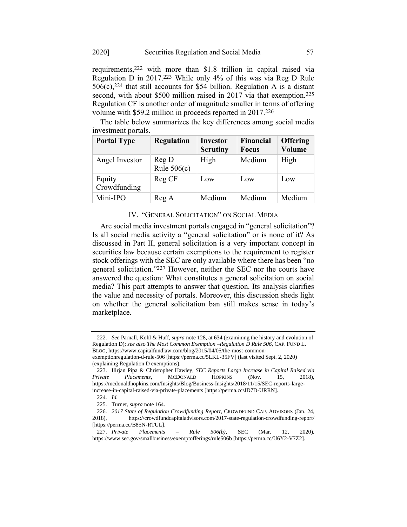requirements,222 with more than \$1.8 trillion in capital raised via Regulation D in 2017.223 While only 4% of this was via Reg D Rule  $506(c)$ ,  $224$  that still accounts for \$54 billion. Regulation A is a distant second, with about \$500 million raised in 2017 via that exemption.<sup>225</sup> Regulation CF is another order of magnitude smaller in terms of offering volume with \$59.2 million in proceeds reported in 2017.226

The table below summarizes the key differences among social media investment portals.

| <b>Portal Type</b>     | <b>Regulation</b>      | Investor<br><b>Scrutiny</b> | <b>Financial</b><br><b>Focus</b> | <b>Offering</b><br>Volume |
|------------------------|------------------------|-----------------------------|----------------------------------|---------------------------|
| Angel Investor         | Reg D<br>Rule $506(c)$ | High                        | Medium                           | High                      |
| Equity<br>Crowdfunding | Reg CF                 | Low                         | Low                              | Low                       |
| Mini-IPO               | Reg A                  | Medium                      | Medium                           | Medium                    |

#### IV. "GENERAL SOLICITATION" ON SOCIAL MEDIA

Are social media investment portals engaged in "general solicitation"? Is all social media activity a "general solicitation" or is none of it? As discussed in Part II, general solicitation is a very important concept in securities law because certain exemptions to the requirement to register stock offerings with the SEC are only available where there has been "no general solicitation."227 However, neither the SEC nor the courts have answered the question: What constitutes a general solicitation on social media? This part attempts to answer that question. Its analysis clarifies the value and necessity of portals. Moreover, this discussion sheds light on whether the general solicitation ban still makes sense in today's marketplace.

<sup>222.</sup> *See* Parnall, Kohl & Huff, *supra* not[e 128,](#page-27-1) at 634 (examining the history and evolution of Regulation D); *see also The Most Common Exemption –Regulation D Rule 506*, CAP. FUND L. BLOG, https://www.capitalfundlaw.com/blog/2015/04/05/the-most-commonexemptionregulation-d-rule-506 [https://perma.cc/5LKL-35FV] (last visited Sept. 2, 2020) (explaining Regulation D exemptions).

<sup>223.</sup> Ilirjan Pipa & Christopher Hawley, *SEC Reports Large Increase in Capital Raised via Private Placements*, MCDONALD HOPKINS (Nov. 15, 2018), https://mcdonaldhopkins.com/Insights/Blog/Business-Insights/2018/11/15/SEC-reports-largeincrease-in-capital-raised-via-private-placements [https://perma.cc/JD7D-URRN].

<sup>224.</sup> *Id.*

<sup>225.</sup> Turner, *supra* not[e 164.](#page-32-0)

<sup>226.</sup> *2017 State of Regulation Crowdfunding Report*, CROWDFUND CAP. ADVISORS (Jan. 24, 2018), https://crowdfundcapitaladvisors.com/2017-state-regulation-crowdfunding-report/ [https://perma.cc/B85N-RTUL].

<sup>227.</sup> *Private Placements – Rule 506(b)*, SEC (Mar. 12, 2020), https://www.sec.gov/smallbusiness/exemptofferings/rule506b [https://perma.cc/U6Y2-V7Z2].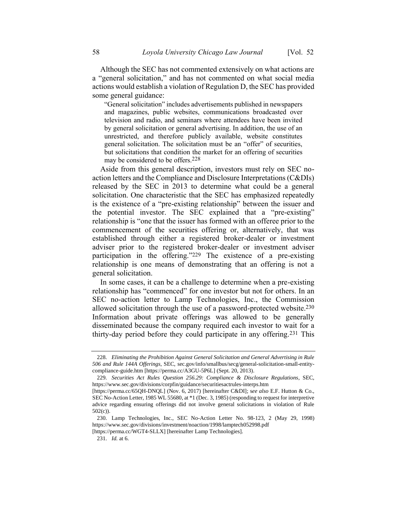Although the SEC has not commented extensively on what actions are a "general solicitation," and has not commented on what social media actions would establish a violation of Regulation D, the SEC has provided some general guidance:

"General solicitation" includes advertisements published in newspapers and magazines, public websites, communications broadcasted over television and radio, and seminars where attendees have been invited by general solicitation or general advertising. In addition, the use of an unrestricted, and therefore publicly available, website constitutes general solicitation. The solicitation must be an "offer" of securities, but solicitations that condition the market for an offering of securities may be considered to be offers.228

Aside from this general description, investors must rely on SEC noaction letters and the Compliance and Disclosure Interpretations (C&DIs) released by the SEC in 2013 to determine what could be a general solicitation. One characteristic that the SEC has emphasized repeatedly is the existence of a "pre-existing relationship" between the issuer and the potential investor. The SEC explained that a "pre-existing" relationship is "one that the issuer has formed with an offeree prior to the commencement of the securities offering or, alternatively, that was established through either a registered broker-dealer or investment adviser prior to the registered broker-dealer or investment adviser participation in the offering."229 The existence of a pre-existing relationship is one means of demonstrating that an offering is not a general solicitation.

<span id="page-44-0"></span>In some cases, it can be a challenge to determine when a pre-existing relationship has "commenced" for one investor but not for others. In an SEC no-action letter to Lamp Technologies, Inc., the Commission allowed solicitation through the use of a password-protected website.230 Information about private offerings was allowed to be generally disseminated because the company required each investor to wait for a thirty-day period before they could participate in any offering.231 This

<sup>228.</sup> *Eliminating the Prohibition Against General Solicitation and General Advertising in Rule 506 and Rule 144A Offerings*, SEC, sec.gov/info/smallbus/secg/general-solicitation-small-entitycompliance-guide.htm [https://perma.cc/A3GU-5P6L] (Sept. 20, 2013).

<sup>229.</sup> *Securities Act Rules Question 256.29: Compliance & Disclosure Regulations*, SEC, https://www.sec.gov/divisions/corpfin/guidance/securitiesactrules-interps.htm

<sup>[</sup>https://perma.cc/65QH-DNQL] (Nov. 6, 2017) [hereinafter C&DI]; s*ee also* E.F. Hutton & Co., SEC No-Action Letter, 1985 WL 55680, at \*1 (Dec. 3, 1985) (responding to request for interpretive advice regarding ensuring offerings did not involve general solicitations in violation of Rule 502(c)).

<sup>230.</sup> Lamp Technologies, Inc., SEC No-Action Letter No. 98-123, 2 (May 29, 1998) https://www.sec.gov/divisions/investment/noaction/1998/lamptech052998.pdf

<sup>[</sup>https://perma.cc/WGT4-SLLX] [hereinafter Lamp Technologies].

<sup>231.</sup> *Id.* at 6.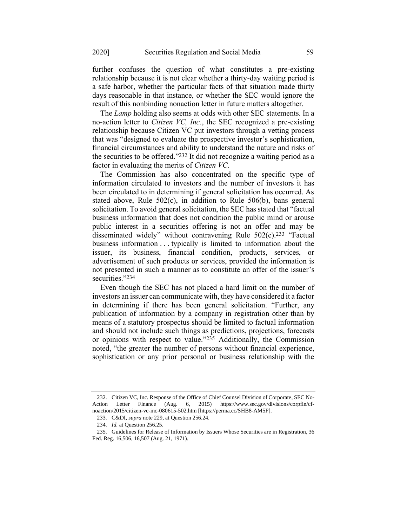further confuses the question of what constitutes a pre-existing relationship because it is not clear whether a thirty-day waiting period is a safe harbor, whether the particular facts of that situation made thirty days reasonable in that instance, or whether the SEC would ignore the result of this nonbinding nonaction letter in future matters altogether.

The *Lamp* holding also seems at odds with other SEC statements. In a no-action letter to *Citizen VC, Inc.*, the SEC recognized a pre-existing relationship because Citizen VC put investors through a vetting process that was "designed to evaluate the prospective investor's sophistication, financial circumstances and ability to understand the nature and risks of the securities to be offered."232 It did not recognize a waiting period as a factor in evaluating the merits of *Citizen VC*.

The Commission has also concentrated on the specific type of information circulated to investors and the number of investors it has been circulated to in determining if general solicitation has occurred. As stated above, Rule 502(c), in addition to Rule 506(b), bans general solicitation. To avoid general solicitation, the SEC has stated that "factual business information that does not condition the public mind or arouse public interest in a securities offering is not an offer and may be disseminated widely" without contravening Rule 502(c).233 "Factual business information . . . typically is limited to information about the issuer, its business, financial condition, products, services, or advertisement of such products or services, provided the information is not presented in such a manner as to constitute an offer of the issuer's securities."234

Even though the SEC has not placed a hard limit on the number of investors an issuer can communicate with, they have considered it a factor in determining if there has been general solicitation. "Further, any publication of information by a company in registration other than by means of a statutory prospectus should be limited to factual information and should not include such things as predictions, projections, forecasts or opinions with respect to value."235 Additionally, the Commission noted, "the greater the number of persons without financial experience, sophistication or any prior personal or business relationship with the

<sup>232.</sup> Citizen VC, Inc. Response of the Office of Chief Counsel Division of Corporate, SEC No-Action Letter Finance (Aug. 6, 2015) https://www.sec.gov/divisions/corpfin/cfnoaction/2015/citizen-vc-inc-080615-502.htm [https://perma.cc/SHB8-AM5F].

<sup>233.</sup> C&DI, *supra* not[e 229,](#page-44-0) at Question 256.24.

<sup>234.</sup> *Id.* at Question 256.25.

<sup>235.</sup> Guidelines for Release of Information by Issuers Whose Securities are in Registration, 36 Fed. Reg. 16,506, 16,507 (Aug. 21, 1971).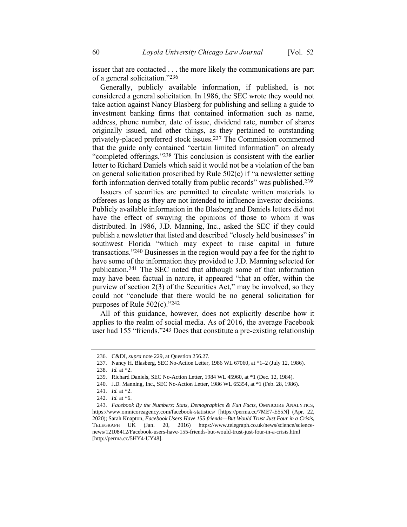issuer that are contacted . . . the more likely the communications are part of a general solicitation."236

Generally, publicly available information, if published, is not considered a general solicitation. In 1986, the SEC wrote they would not take action against Nancy Blasberg for publishing and selling a guide to investment banking firms that contained information such as name, address, phone number, date of issue, dividend rate, number of shares originally issued, and other things, as they pertained to outstanding privately-placed preferred stock issues.237 The Commission commented that the guide only contained "certain limited information" on already "completed offerings."238 This conclusion is consistent with the earlier letter to Richard Daniels which said it would not be a violation of the ban on general solicitation proscribed by Rule 502(c) if "a newsletter setting forth information derived totally from public records" was published.239

Issuers of securities are permitted to circulate written materials to offerees as long as they are not intended to influence investor decisions. Publicly available information in the Blasberg and Daniels letters did not have the effect of swaying the opinions of those to whom it was distributed. In 1986, J.D. Manning, Inc., asked the SEC if they could publish a newsletter that listed and described "closely held businesses" in southwest Florida "which may expect to raise capital in future transactions."240 Businesses in the region would pay a fee for the right to have some of the information they provided to J.D. Manning selected for publication.241 The SEC noted that although some of that information may have been factual in nature, it appeared "that an offer, within the purview of section 2(3) of the Securities Act," may be involved, so they could not "conclude that there would be no general solicitation for purposes of Rule 502(c)."242

All of this guidance, however, does not explicitly describe how it applies to the realm of social media. As of 2016, the average Facebook user had 155 "friends."243 Does that constitute a pre-existing relationship

<sup>236.</sup> C&DI, *supra* not[e 229,](#page-44-0) at Question 256.27.

<sup>237.</sup> Nancy H. Blasberg, SEC No-Action Letter, 1986 WL 67060, at \*1–2 (July 12, 1986).

<sup>238.</sup> *Id.* at \*2.

<sup>239.</sup> Richard Daniels, SEC No-Action Letter, 1984 WL 45960, at \*1 (Dec. 12, 1984).

<sup>240.</sup> J.D. Manning, Inc., SEC No-Action Letter, 1986 WL 65354, at \*1 (Feb. 28, 1986).

<sup>241.</sup> *Id.* at \*2.

<sup>242.</sup> *Id.* at \*6.

<sup>243.</sup> *Facebook By the Numbers: Stats, Demographics & Fun Facts*, OMNICORE ANALYTICS, https://www.omnicoreagency.com/facebook-statistics/ [https://perma.cc/7ME7-E55N] (Apr. 22, 2020); Sarah Knapton, *Facebook Users Have 155 friends—But Would Trust Just Four in a Crisis*, TELEGRAPH UK (Jan. 20, 2016) https://www.telegraph.co.uk/news/science/sciencenews/12108412/Facebook-users-have-155-friends-but-would-trust-just-four-in-a-crisis.html [http://perma.cc/5HY4-UY48].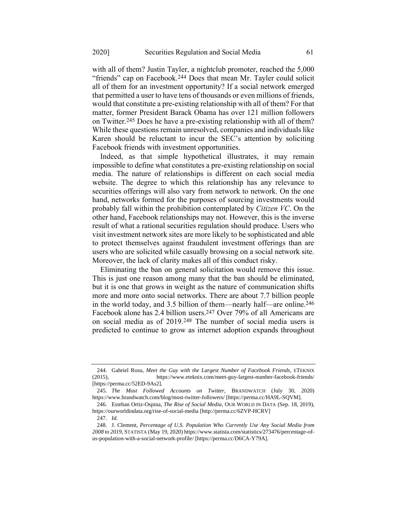with all of them? Justin Tayler, a nightclub promoter, reached the 5,000 "friends" cap on Facebook.244 Does that mean Mr. Tayler could solicit all of them for an investment opportunity? If a social network emerged that permitted a user to have tens of thousands or even millions of friends, would that constitute a pre-existing relationship with all of them? For that matter, former President Barack Obama has over 121 million followers on Twitter.245 Does he have a pre-existing relationship with all of them? While these questions remain unresolved, companies and individuals like Karen should be reluctant to incur the SEC's attention by soliciting Facebook friends with investment opportunities.

Indeed, as that simple hypothetical illustrates, it may remain impossible to define what constitutes a pre-existing relationship on social media. The nature of relationships is different on each social media website. The degree to which this relationship has any relevance to securities offerings will also vary from network to network. On the one hand, networks formed for the purposes of sourcing investments would probably fall within the prohibition contemplated by *Citizen VC*. On the other hand, Facebook relationships may not. However, this is the inverse result of what a rational securities regulation should produce. Users who visit investment network sites are more likely to be sophisticated and able to protect themselves against fraudulent investment offerings than are users who are solicited while casually browsing on a social network site. Moreover, the lack of clarity makes all of this conduct risky.

Eliminating the ban on general solicitation would remove this issue. This is just one reason among many that the ban should be eliminated, but it is one that grows in weight as the nature of communication shifts more and more onto social networks. There are about 7.7 billion people in the world today, and 3.5 billion of them—nearly half—are online. 246 Facebook alone has 2.4 billion users.247 Over 79% of all Americans are on social media as of 2019. 248 The number of social media users is predicted to continue to grow as internet adoption expands throughout

<sup>244.</sup> Gabriel Rosu, *Meet the Guy with the Largest Number of Facebook Friends*, ETEKNIX (2015), https://www.eteknix.com/meet-guy-largest-number-facebook-friends/ [https://perma.cc/52ED-9As2].

<sup>245.</sup> *The Most Followed Accounts on Twitter*, BRANDWATCH (July 30, 2020) https://www.brandwatch.com/blog/most-twitter-followers/ [https://perma.cc/HA9L-SQVM].

<sup>246.</sup> Esteban Ortiz-Ospina, *The Rise of Social Media*, OUR WORLD IN DATA (Sep. 18, 2019), https://ourworldindata.org/rise-of-social-media [http://perma.cc/6ZVP-HCRV]

<sup>247.</sup> *Id.*

<sup>248.</sup> J. Clement, *Percentage of U.S. Population Who Currently Use Any Social Media from 2008 to 2019*, STATISTA (May 19, 2020) https://www.statista.com/statistics/273476/percentage-ofus-population-with-a-social-network-profile/ [https://perma.cc/D6CA-Y79A].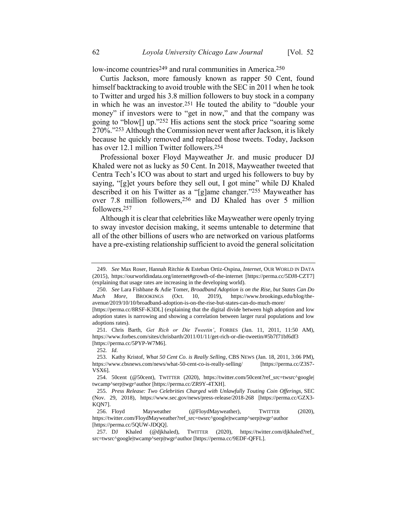low-income countries<sup>249</sup> and rural communities in America.<sup>250</sup>

Curtis Jackson, more famously known as rapper 50 Cent, found himself backtracking to avoid trouble with the SEC in 2011 when he took to Twitter and urged his 3.8 million followers to buy stock in a company in which he was an investor.251 He touted the ability to "double your money" if investors were to "get in now," and that the company was going to "blow[] up."252 His actions sent the stock price "soaring some 270%."253 Although the Commission never went after Jackson, it is likely because he quickly removed and replaced those tweets. Today, Jackson has over 12.1 million Twitter followers.254

Professional boxer Floyd Mayweather Jr. and music producer DJ Khaled were not as lucky as 50 Cent. In 2018, Mayweather tweeted that Centra Tech's ICO was about to start and urged his followers to buy by saying, "[g]et yours before they sell out, I got mine" while DJ Khaled described it on his Twitter as a "[g]ame changer."255 Mayweather has over 7.8 million followers,256 and DJ Khaled has over 5 million followers.257

Although it is clear that celebrities like Mayweather were openly trying to sway investor decision making, it seems untenable to determine that all of the other billions of users who are networked on various platforms have a pre-existing relationship sufficient to avoid the general solicitation

<sup>249.</sup> *See* Max Roser, Hannah Ritchie & Esteban Ortiz-Ospina, *Internet*, OUR WORLD IN DATA (2015), https://ourworldindata.org/internet#growth-of-the-internet [https://perma.cc/5DJ8-CZT7] (explaining that usage rates are increasing in the developing world).

<sup>250.</sup> *See* Lara Fishbane & Adie Tomer, *Broadband Adoption is on the Rise, but States Can Do Much More*, BROOKINGS (Oct. 10, 2019), https://www.brookings.edu/blog/theavenue/2019/10/10/broadband-adoption-is-on-the-rise-but-states-can-do-much-more/ [https://perma.cc/8RSF-K3DL] (explaining that the digital divide between high adoption and low

adoption states is narrowing and showing a correlation between larger rural populations and low adoptions rates).

<sup>251.</sup> Chris Barth, *Get Rich or Die Tweetin'*, FORBES (Jan. 11, 2011, 11:50 AM), https://www.forbes.com/sites/chrisbarth/2011/01/11/get-rich-or-die-tweetin/#5b7f71bf6df3 [https://perma.cc/5PYP-W7M6].

<sup>252</sup>*. Id*.

<sup>253.</sup> Kathy Kristof, *What 50 Cent Co. is Really Selling*, CBS NEWS (Jan. 18, 2011, 3:06 PM), https://www.cbsnews.com/news/what-50-cent-co-is-really-selling/ [https://perma.cc/Z3S7- VSX6].

<sup>254.</sup> 50cent (@50cent), TWITTER (2020), https://twitter.com/50cent?ref\_src=twsrc^google| twcamp^serp|twgr^author [https://perma.cc/ZR9Y-4TXH].

<sup>255.</sup> *Press Release: Two Celebrities Charged with Unlawfully Touting Coin Offerings*, SEC (Nov. 29, 2018), https://www.sec.gov/news/press-release/2018-268 [https://perma.cc/GZX3- KQN7].

<sup>256.</sup> Floyd Mayweather (@FloydMayweather), TWITTER (2020), https://twitter.com/FloydMayweather?ref\_src=twsrc^google|twcamp^serp|twgr^author [https://perma.cc/5QUW-JDQQ].

<sup>257.</sup> DJ Khaled (@djkhaled), TWITTER (2020), https://twitter.com/djkhaled?ref\_ src=twsrc^google|twcamp^serp|twgr^author [https://perma.cc/9EDF-QFFL].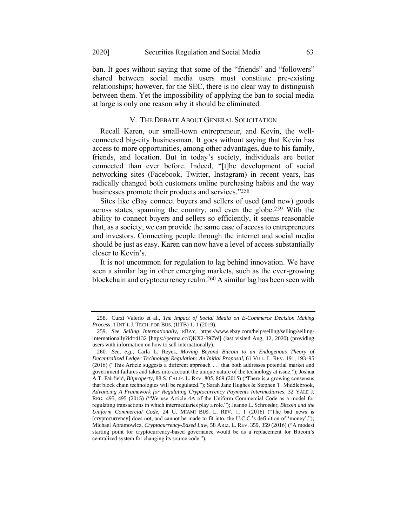ban. It goes without saying that some of the "friends" and "followers" shared between social media users must constitute pre-existing relationships; however, for the SEC, there is no clear way to distinguish between them. Yet the impossibility of applying the ban to social media at large is only one reason why it should be eliminated.

#### V. THE DEBATE ABOUT GENERAL SOLICITATION

Recall Karen, our small-town entrepreneur, and Kevin, the wellconnected big-city businessman. It goes without saying that Kevin has access to more opportunities, among other advantages, due to his family, friends, and location. But in today's society, individuals are better connected than ever before. Indeed, "[t]he development of social networking sites (Facebook, Twitter, Instagram) in recent years, has radically changed both customers online purchasing habits and the way businesses promote their products and services."258

Sites like eBay connect buyers and sellers of used (and new) goods across states, spanning the country, and even the globe.259 With the ability to connect buyers and sellers so efficiently, it seems reasonable that, as a society, we can provide the same ease of access to entrepreneurs and investors. Connecting people through the internet and social media should be just as easy. Karen can now have a level of access substantially closer to Kevin's.

It is not uncommon for regulation to lag behind innovation. We have seen a similar lag in other emerging markets, such as the ever-growing blockchain and cryptocurrency realm.260 A similar lag has been seen with

<sup>258.</sup> Curzi Valerio et al., *The Impact of Social Media on E-Commerce Decision Making Process*, 1 INT'L J. TECH. FOR BUS. (IJTB) 1, 1 (2019).

<sup>259.</sup> *See Selling Internationally*, EBAY, https://www.ebay.com/help/selling/selling/sellinginternationally?id=4132 [https://perma.cc/QKX2-397W] (last visited Aug, 12, 2020) (providing users with information on how to sell internationally).

<sup>260.</sup> *See, e.g.*, Carla L. Reyes, *Moving Beyond Bitcoin to an Endogenous Theory of Decentralized Ledger Technology Regulation: An Initial Proposal*, 61 VILL. L. REV. 191, 193–95 (2016) ("This Article suggests a different approach . . . that both addresses potential market and government failures and takes into account the unique nature of the technology at issue."); Joshua A.T. Fairfield, *Bitproperty*, 88 S. CALIF. L. REV. 805, 869 (2015) ("There is a growing consensus that block chain technologies will be regulated."); Sarah Jane Hughes & Stephen T. Middlebrook, *Advancing A Framework for Regulating Cryptocurrency Payments Intermediaries*, 32 YALE J. REG. 495, 495 (2015) ("We use Article 4A of the Uniform Commercial Code as a model for regulating transactions in which intermediaries play a role."); Jeanne L. Schroeder, *Bitcoin and the Uniform Commercial Code*, 24 U. MIAMI BUS. L. REV. 1, 1 (2016) ("The bad news is [cryptocurrency] does not, and cannot be made to fit into, the U.C.C.'s definition of 'money'."); Michael Abramowicz, *Cryptocurrency-Based Law*, 58 ARIZ. L. REV. 359, 359 (2016) ("A modest starting point for cryptocurrency-based governance would be as a replacement for Bitcoin's centralized system for changing its source code.").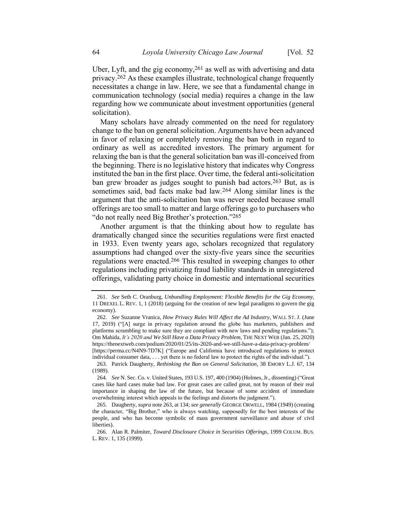Uber, Lyft, and the gig economy,  $261$  as well as with advertising and data privacy.262 As these examples illustrate, technological change frequently necessitates a change in law. Here, we see that a fundamental change in communication technology (social media) requires a change in the law regarding how we communicate about investment opportunities (general solicitation).

Many scholars have already commented on the need for regulatory change to the ban on general solicitation. Arguments have been advanced in favor of relaxing or completely removing the ban both in regard to ordinary as well as accredited investors. The primary argument for relaxing the ban is that the general solicitation ban was ill-conceived from the beginning. There is no legislative history that indicates why Congress instituted the ban in the first place. Over time, the federal anti-solicitation ban grew broader as judges sought to punish bad actors.263 But, as is sometimes said, bad facts make bad law.264 Along similar lines is the argument that the anti-solicitation ban was never needed because small offerings are too small to matter and large offerings go to purchasers who "do not really need Big Brother's protection."265

<span id="page-50-0"></span>Another argument is that the thinking about how to regulate has dramatically changed since the securities regulations were first enacted in 1933. Even twenty years ago, scholars recognized that regulatory assumptions had changed over the sixty-five years since the securities regulations were enacted.266 This resulted in sweeping changes to other regulations including privatizing fraud liability standards in unregistered offerings, validating party choice in domestic and international securities

<sup>261.</sup> *See* Seth C. Oranburg, *Unbundling Employment: Flexible Benefits for the Gig Economy*, 11 DREXEL L. REV. 1, 1 (2018) (arguing for the creation of new legal paradigms to govern the gig economy).

<sup>262.</sup> *See* Suzanne Vranica, *How Privacy Rules Will Affect the Ad Industry*, WALL ST. J. (June 17, 2019) ("[A] surge in privacy regulation around the globe has marketers, publishers and platforms scrambling to make sure they are compliant with new laws and pending regulations."); Om Mahida, *It's 2020 and We Still Have a Data Privacy Problem*, THE NEXT WEB (Jan. 25, 2020) https://thenextweb.com/podium/2020/01/25/its-2020-and-we-still-have-a-data-privacy-problem/

<sup>[</sup>https://perma.cc/N4N9-7D7K] ("Europe and California have introduced regulations to protect individual consumer data, . . . yet there is no federal law to protect the rights of the individual.").

<sup>263.</sup> Patrick Daugherty, *Rethinking the Ban on General Solicitation*, 38 EMORY L.J. 67, 134 (1989).

<sup>264</sup>*. See* N. Sec. Co. v. United States, 193 U.S. 197, 400 (1904) (Holmes, Jr., dissenting) ("Great cases like hard cases make bad law. For great cases are called great, not by reason of their real importance in shaping the law of the future, but because of some accident of immediate overwhelming interest which appeals to the feelings and distorts the judgment.").

<sup>265.</sup> Daugherty, *supra* note [263,](#page-50-0) at 134; *see generally* GEORGE ORWELL, 1984 (1949) (creating the character, "Big Brother," who is always watching, supposedly for the best interests of the people, and who has become symbolic of mass government surveillance and abuse of civil liberties).

<sup>266.</sup> Alan R. Palmiter, *Toward Disclosure Choice in Securities Offerings*, 1999 COLUM. BUS. L. REV. 1, 135 (1999).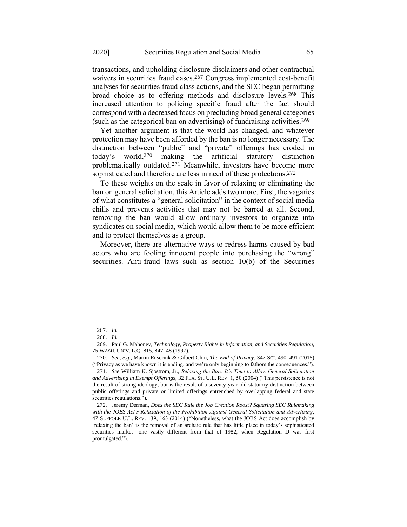transactions, and upholding disclosure disclaimers and other contractual waivers in securities fraud cases.<sup>267</sup> Congress implemented cost-benefit analyses for securities fraud class actions, and the SEC began permitting broad choice as to offering methods and disclosure levels.268 This increased attention to policing specific fraud after the fact should correspond with a decreased focus on precluding broad general categories (such as the categorical ban on advertising) of fundraising activities.269

Yet another argument is that the world has changed, and whatever protection may have been afforded by the ban is no longer necessary. The distinction between "public" and "private" offerings has eroded in today's world,270 making the artificial statutory distinction problematically outdated.271 Meanwhile, investors have become more sophisticated and therefore are less in need of these protections.<sup>272</sup>

To these weights on the scale in favor of relaxing or eliminating the ban on general solicitation, this Article adds two more. First, the vagaries of what constitutes a "general solicitation" in the context of social media chills and prevents activities that may not be barred at all. Second, removing the ban would allow ordinary investors to organize into syndicates on social media, which would allow them to be more efficient and to protect themselves as a group.

Moreover, there are alternative ways to redress harms caused by bad actors who are fooling innocent people into purchasing the "wrong" securities. Anti-fraud laws such as section 10(b) of the Securities

<sup>267.</sup> *Id.*

<sup>268.</sup> *Id.*

<sup>269.</sup> Paul G. Mahoney, *Technology, Property Rights in Information, and Securities Regulation*, 75 WASH. UNIV. L.Q. 815, 847–48 (1997).

<sup>270.</sup> *See, e.g*., Martin Enserink & Gilbert Chin, *The End of Privacy*, 347 SCI. 490, 491 (2015) ("Privacy as we have known it is ending, and we're only beginning to fathom the consequences.").

<sup>271.</sup> *See* William K. Sjostrom, Jr., *Relaxing the Ban: It's Time to Allow General Solicitation and Advertising in Exempt Offerings*, 32 FLA. ST. U.L. REV. 1, 50 (2004) ("This persistence is not the result of strong ideology, but is the result of a seventy-year-old statutory distinction between public offerings and private or limited offerings entrenched by overlapping federal and state securities regulations.").

<sup>272.</sup> Jeremy Derman, *Does the SEC Rule the Job Creation Roost? Squaring SEC Rulemaking with the JOBS Act's Relaxation of the Prohibition Against General Solicitation and Advertising*, 47 SUFFOLK U.L. REV. 139, 163 (2014) ("Nonetheless, what the JOBS Act does accomplish by 'relaxing the ban' is the removal of an archaic rule that has little place in today's sophisticated securities market—one vastly different from that of 1982, when Regulation D was first promulgated.").